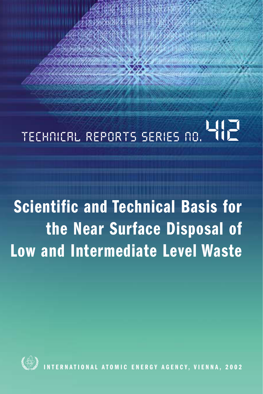# TECHNICAL REPORTS SERIES NO. YIL

**Scientific and Technical Basis for the Near Surface Disposal of Low and Intermediate Level Waste**



**IERNATIONAL ATOMIC ENERGY AGENCY, VIENNA, 2002**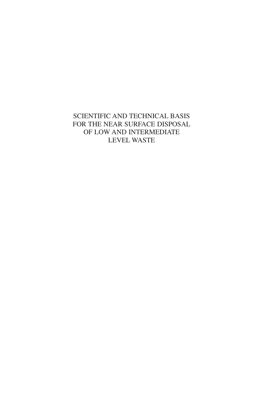SCIENTIFIC AND TECHNICAL BASIS FOR THE NEAR SURFACE DISPOSAL OF LOW AND INTERMEDIATE LEVEL WASTE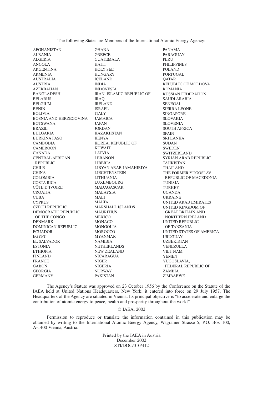The following States are Members of the International Atomic Energy Agency:

AFGHANISTAN ALBANIA ALGERIA ANGOLA ARGENTINA ARMENIA AUSTRALIA AUSTRIA AZERBAIJAN BANGLADESH BELARUS BELGIUM **BENIN** BOLIVIA BOSNIA AND HERZEGOVINA BOTSWANA BRAZIL BULGARIA BURKINA FASO CAMBODIA CAMEROON CANADA CENTRAL AFRICAN REPUBLIC CHILE<sub></sub> CHINA COLOMBIA COSTA RICA CÔTE D'IVOIRE **CROATIA CURA** CYPRUS CZECH REPUBLIC DEMOCRATIC REPUBLIC MAURITIUS OF THE CONGO DENMARK DOMINICAN REPUBLIC ECUADOR EGYPT EL SALVADOR ESTONIA ETHIOPIA FINLAND FRANCE GABON GEORGIA GERMANY

GHANA **GREECE** GUATEMALA HAITI HOLY SEE HUNGARY ICELAND INDIA INDONESIA IRAN, ISLAMIC REPUBLIC OF IRAQ IRELAND ISRAEL ITALY JAMAICA JAPAN JORDAN KAZAKHSTAN KENYA KOREA, REPUBLIC OF KUWAIT LATVIA LEBANON LIBERIA LIBYAN ARAB JAMAHIRIYA LIECHTENSTEIN LITHUANIA LUXEMBOURG MADAGASCAR MALAYSIA MALI MALTA MARSHALL ISLANDS MEXICO MONACO MONGOLIA **MOROCCO** MYANMAR NAMIBIA NETHERLANDS NEW ZEALAND NICARAGUA NIGER NIGERIA NORWAY PAKISTAN

PANAMA PARAGUAY PERU PHILIPPINES POLAND PORTUGAL **OATAR** REPUBLIC OF MOLDOVA ROMANIA RUSSIAN FEDERATION SAUDI ARABIA SENEGAL SIERRA LEONE SINGAPORE SLOVAKIA SLOVENIA SOUTH AFRICA **SPAIN** SRI LANKA SUDAN **SWEDEN** SWITZERLAND SYRIAN ARAB REPUBLIC TAJIKISTAN THAILAND THE FORMER YUGOSLAV REPUBLIC OF MACEDONIA TUNISIA **TURKEY** UGANDA UKRAINE UNITED ARAB EMIRATES UNITED KINGDOM OF GREAT BRITAIN AND NORTHERN IRELAND UNITED REPUBLIC OF TANZANIA UNITED STATES OF AMERICA URUGUAY UZBEKISTAN VENEZUELA VIET NAM YEMEN YUGOSLAVIA, FEDERAL REPUBLIC OF ZAMBIA ZIMBABWE

The Agency's Statute was approved on 23 October 1956 by the Conference on the Statute of the IAEA held at United Nations Headquarters, New York; it entered into force on 29 July 1957. The Headquarters of the Agency are situated in Vienna. Its principal objective is "to accelerate and enlarge the contribution of atomic energy to peace, health and prosperity throughout the world''.

#### © IAEA, 2002

Permission to reproduce or translate the information contained in this publication may be obtained by writing to the International Atomic Energy Agency, Wagramer Strasse 5, P.O. Box 100, A-1400 Vienna, Austria.

> Printed by the IAEA in Austria December 2002 STI/DOC/010/412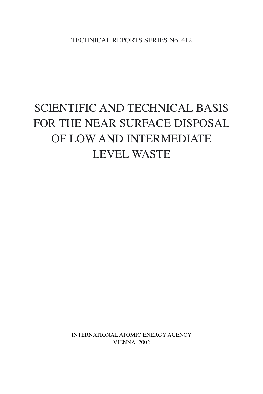TECHNICAL REPORTS SERIES No. 412

## SCIENTIFIC AND TECHNICAL BASIS FOR THE NEAR SURFACE DISPOSAL OF LOW AND INTERMEDIATE LEVEL WASTE

INTERNATIONAL ATOMIC ENERGY AGENCY VIENNA, 2002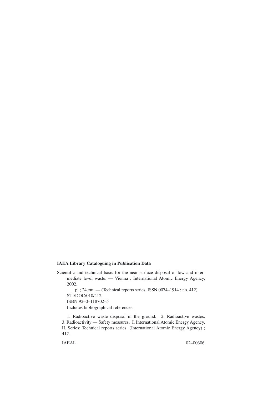#### **IAEA Library Cataloguing in Publication Data**

Scientific and technical basis for the near surface disposal of low and intermediate level waste. — Vienna : International Atomic Energy Agency, 2002.

p. ; 24 cm. — (Technical reports series, ISSN 0074–1914 ; no. 412) STI/DOC/010/412 ISBN 92–0–118702–5 Includes bibliographical references.

1. Radioactive waste disposal in the ground. 2. Radioactive wastes. 3. Radioactivity — Safety measures. I. International Atomic Energy Agency. II. Series: Technical reports series (International Atomic Energy Agency) ; 412.

IAEAL 02–00306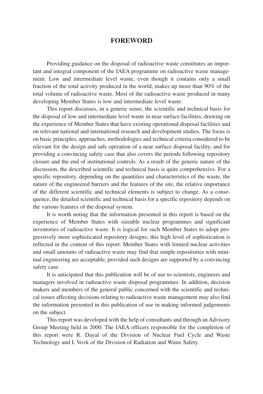#### **FOREWORD**

Providing guidance on the disposal of radioactive waste constitutes an important and integral component of the IAEA programme on radioactive waste management. Low and intermediate level waste, even though it contains only a small fraction of the total activity produced in the world, makes up more than 90% of the total volume of radioactive waste. Most of the radioactive waste produced in many developing Member States is low and intermediate level waste.

This report discusses, in a generic sense, the scientific and technical basis for the disposal of low and intermediate level waste in near surface facilities, drawing on the experience of Member States that have existing operational disposal facilities and on relevant national and international research and development studies. The focus is on basic principles, approaches, methodologies and technical criteria considered to be relevant for the design and safe operation of a near surface disposal facility, and for providing a convincing safety case that also covers the periods following repository closure and the end of institutional controls. As a result of the generic nature of the discussion, the described scientific and technical basis is quite comprehensive. For a specific repository, depending on the quantities and characteristics of the waste, the nature of the engineered barriers and the features of the site, the relative importance of the different scientific and technical elements is subject to change. As a consequence, the detailed scientific and technical basis for a specific repository depends on the various features of the disposal system.

It is worth noting that the information presented in this report is based on the experience of Member States with sizeable nuclear programmes and significant inventories of radioactive waste. It is logical for such Member States to adopt progressively more sophisticated repository designs; this high level of sophistication is reflected in the content of this report. Member States with limited nuclear activities and small amounts of radioactive waste may find that simple repositories with minimal engineering are acceptable, provided such designs are supported by a convincing safety case.

It is anticipated that this publication will be of use to scientists, engineers and managers involved in radioactive waste disposal programmes. In addition, decision makers and members of the general public concerned with the scientific and technical issues affecting decisions relating to radioactive waste management may also find the information presented in this publication of use in making informed judgements on the subject.

This report was developed with the help of consultants and through an Advisory Group Meeting held in 2000. The IAEA officers responsible for the completion of this report were R. Dayal of the Division of Nuclear Fuel Cycle and Waste Technology and I. Vovk of the Division of Radiation and Waste Safety.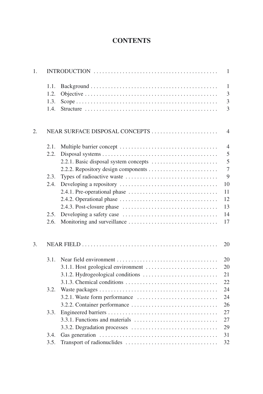### **CONTENTS**

| 1. |      |                                |                |
|----|------|--------------------------------|----------------|
|    | 1.1. |                                | 1              |
|    | 1.2. |                                | 3              |
|    | 1.3. |                                | 3              |
|    | 1.4. |                                | 3              |
| 2. |      | NEAR SURFACE DISPOSAL CONCEPTS | $\overline{4}$ |
|    | 2.1. |                                | $\overline{4}$ |
|    | 2.2. |                                | 5              |
|    |      |                                | 5              |
|    |      |                                | $\overline{7}$ |
|    | 2.3. |                                | 9              |
|    | 2.4. |                                | 10             |
|    |      |                                | 11             |
|    |      |                                | 12             |
|    |      |                                | 13             |
|    | 2.5. |                                | 14             |
|    | 2.6. |                                | $17\,$         |
| 3. |      |                                | 20             |
|    | 3.1. |                                | 20             |
|    |      |                                | 20             |
|    |      |                                | 21             |
|    |      |                                | 22             |
|    | 3.2. |                                | 24             |
|    |      |                                | 24             |
|    |      |                                | 26             |
|    | 3.3. |                                | 27             |
|    |      |                                | 27             |
|    |      |                                | 29             |
|    | 3.4. |                                | 31             |
|    | 3.5. |                                | 32             |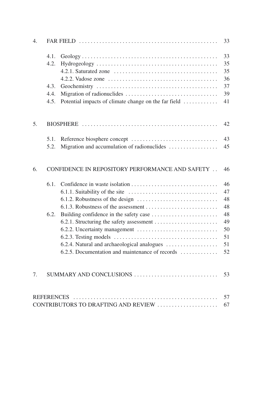| 4. |                                                 |                                                      | 33 |
|----|-------------------------------------------------|------------------------------------------------------|----|
|    | 4.1.                                            |                                                      | 33 |
|    | 4.2.                                            |                                                      | 35 |
|    |                                                 |                                                      | 35 |
|    |                                                 |                                                      | 36 |
|    | 4.3.                                            |                                                      | 37 |
|    | 4.4.                                            |                                                      | 39 |
|    | 4.5.                                            | Potential impacts of climate change on the far field | 41 |
| 5. |                                                 |                                                      | 42 |
|    | 5.1.                                            |                                                      | 43 |
|    | 5.2.                                            | Migration and accumulation of radionuclides          | 45 |
| 6. | CONFIDENCE IN REPOSITORY PERFORMANCE AND SAFETY |                                                      |    |
|    | 6.1.                                            |                                                      | 46 |
|    |                                                 |                                                      | 47 |
|    |                                                 |                                                      | 48 |
|    |                                                 |                                                      | 48 |
|    | 6.2.                                            |                                                      | 48 |
|    |                                                 |                                                      | 49 |
|    |                                                 | 6.2.2. Uncertainty management                        | 50 |
|    |                                                 |                                                      | 51 |
|    |                                                 | 6.2.4. Natural and archaeological analogues          | 51 |
|    |                                                 | 6.2.5. Documentation and maintenance of records      | 52 |
| 7. |                                                 | SUMMARY AND CONCLUSIONS                              | 53 |
|    | <b>REFERENCES</b>                               |                                                      | 57 |
|    |                                                 | CONTRIBUTORS TO DRAFTING AND REVIEW                  | 67 |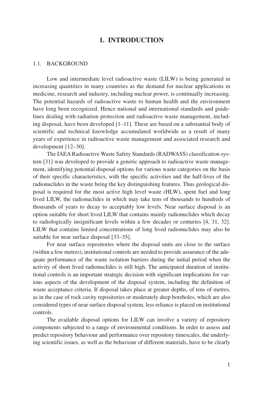#### **1. INTRODUCTION**

#### 1.1. BACKGROUND

Low and intermediate level radioactive waste (LILW) is being generated in increasing quantities in many countries as the demand for nuclear applications in medicine, research and industry, including nuclear power, is continually increasing. The potential hazards of radioactive waste to human health and the environment have long been recognized. Hence national and international standards and guidelines dealing with radiation protection and radioactive waste management, including disposal, have been developed  $[-11]$ . These are based on a substantial body of scientific and technical knowledge accumulated worldwide as a result of many years of experience in radioactive waste management and associated research and development [12–30].

The IAEA Radioactive Waste Safety Standards (RADWASS) classification system [31] was developed to provide a generic approach to radioactive waste management, identifying potential disposal options for various waste categories on the basis of their specific characteristics, with the specific activities and the half-lives of the radionuclides in the waste being the key distinguishing features. Thus geological disposal is required for the most active high level waste (HLW), spent fuel and long lived LILW, the radionuclides in which may take tens of thousands to hundreds of thousands of years to decay to acceptably low levels. Near surface disposal is an option suitable for short lived LILW that contains mainly radionuclides which decay to radiologically insignificant levels within a few decades or centuries [4, 31, 32]. LILW that contains limited concentrations of long lived radionuclides may also be suitable for near surface disposal [33–35].

For near surface repositories where the disposal units are close to the surface (within a few metres), institutional controls are needed to provide assurance of the adequate performance of the waste isolation barriers during the initial period when the activity of short lived radionuclides is still high. The anticipated duration of institutional controls is an important strategic decision with significant implications for various aspects of the development of the disposal system, including the definition of waste acceptance criteria. If disposal takes place at greater depths, of tens of metres, as in the case of rock cavity repositories or moderately deep boreholes, which are also considered types of near surface disposal system, less reliance is placed on institutional controls.

The available disposal options for LILW can involve a variety of repository components subjected to a range of environmental conditions. In order to assess and predict repository behaviour and performance over repository timescales, the underlying scientific issues, as well as the behaviour of different materials, have to be clearly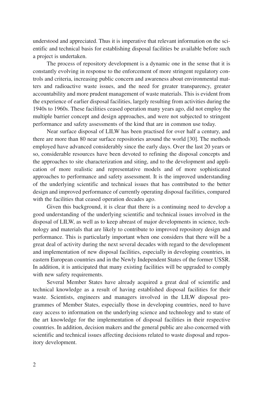understood and appreciated. Thus it is imperative that relevant information on the scientific and technical basis for establishing disposal facilities be available before such a project is undertaken.

The process of repository development is a dynamic one in the sense that it is constantly evolving in response to the enforcement of more stringent regulatory controls and criteria, increasing public concern and awareness about environmental matters and radioactive waste issues, and the need for greater transparency, greater accountability and more prudent management of waste materials. This is evident from the experience of earlier disposal facilities, largely resulting from activities during the 1940s to 1960s. These facilities ceased operation many years ago, did not employ the multiple barrier concept and design approaches, and were not subjected to stringent performance and safety assessments of the kind that are in common use today.

Near surface disposal of LILW has been practised for over half a century, and there are more than 80 near surface repositories around the world [30]. The methods employed have advanced considerably since the early days. Over the last 20 years or so, considerable resources have been devoted to refining the disposal concepts and the approaches to site characterization and siting, and to the development and application of more realistic and representative models and of more sophisticated approaches to performance and safety assessment. It is the improved understanding of the underlying scientific and technical issues that has contributed to the better design and improved performance of currently operating disposal facilities, compared with the facilities that ceased operation decades ago.

Given this background, it is clear that there is a continuing need to develop a good understanding of the underlying scientific and technical issues involved in the disposal of LILW, as well as to keep abreast of major developments in science, technology and materials that are likely to contribute to improved repository design and performance. This is particularly important when one considers that there will be a great deal of activity during the next several decades with regard to the development and implementation of new disposal facilities, especially in developing countries, in eastern European countries and in the Newly Independent States of the former USSR. In addition, it is anticipated that many existing facilities will be upgraded to comply with new safety requirements.

Several Member States have already acquired a great deal of scientific and technical knowledge as a result of having established disposal facilities for their waste. Scientists, engineers and managers involved in the LILW disposal programmes of Member States, especially those in developing countries, need to have easy access to information on the underlying science and technology and to state of the art knowledge for the implementation of disposal facilities in their respective countries. In addition, decision makers and the general public are also concerned with scientific and technical issues affecting decisions related to waste disposal and repository development.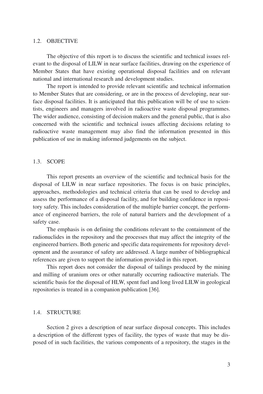#### 1.2. OBJECTIVE

The objective of this report is to discuss the scientific and technical issues relevant to the disposal of LILW in near surface facilities, drawing on the experience of Member States that have existing operational disposal facilities and on relevant national and international research and development studies.

The report is intended to provide relevant scientific and technical information to Member States that are considering, or are in the process of developing, near surface disposal facilities. It is anticipated that this publication will be of use to scientists, engineers and managers involved in radioactive waste disposal programmes. The wider audience, consisting of decision makers and the general public, that is also concerned with the scientific and technical issues affecting decisions relating to radioactive waste management may also find the information presented in this publication of use in making informed judgements on the subject.

#### 1.3. SCOPE

This report presents an overview of the scientific and technical basis for the disposal of LILW in near surface repositories. The focus is on basic principles, approaches, methodologies and technical criteria that can be used to develop and assess the performance of a disposal facility, and for building confidence in repository safety. This includes consideration of the multiple barrier concept, the performance of engineered barriers, the role of natural barriers and the development of a safety case.

The emphasis is on defining the conditions relevant to the containment of the radionuclides in the repository and the processes that may affect the integrity of the engineered barriers. Both generic and specific data requirements for repository development and the assurance of safety are addressed. A large number of bibliographical references are given to support the information provided in this report.

This report does not consider the disposal of tailings produced by the mining and milling of uranium ores or other naturally occurring radioactive materials. The scientific basis for the disposal of HLW, spent fuel and long lived LILW in geological repositories is treated in a companion publication [36].

#### 1.4. STRUCTURE

Section 2 gives a description of near surface disposal concepts. This includes a description of the different types of facility, the types of waste that may be disposed of in such facilities, the various components of a repository, the stages in the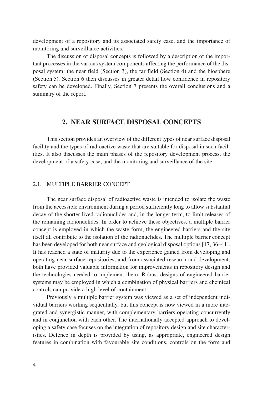development of a repository and its associated safety case, and the importance of monitoring and surveillance activities.

The discussion of disposal concepts is followed by a description of the important processes in the various system components affecting the performance of the disposal system: the near field (Section 3), the far field (Section 4) and the biosphere (Section 5). Section 6 then discusses in greater detail how confidence in repository safety can be developed. Finally, Section 7 presents the overall conclusions and a summary of the report.

#### **2. NEAR SURFACE DISPOSAL CONCEPTS**

This section provides an overview of the different types of near surface disposal facility and the types of radioactive waste that are suitable for disposal in such facilities. It also discusses the main phases of the repository development process, the development of a safety case, and the monitoring and surveillance of the site.

#### 2.1. MULTIPLE BARRIER CONCEPT

The near surface disposal of radioactive waste is intended to isolate the waste from the accessible environment during a period sufficiently long to allow substantial decay of the shorter lived radionuclides and, in the longer term, to limit releases of the remaining radionuclides. In order to achieve these objectives, a multiple barrier concept is employed in which the waste form, the engineered barriers and the site itself all contribute to the isolation of the radionuclides. The multiple barrier concept has been developed for both near surface and geological disposal options [17, 36–41]. It has reached a state of maturity due to the experience gained from developing and operating near surface repositories, and from associated research and development; both have provided valuable information for improvements in repository design and the technologies needed to implement them. Robust designs of engineered barrier systems may be employed in which a combination of physical barriers and chemical controls can provide a high level of containment.

Previously a multiple barrier system was viewed as a set of independent individual barriers working sequentially, but this concept is now viewed in a more integrated and synergistic manner, with complementary barriers operating concurrently and in conjunction with each other. The internationally accepted approach to developing a safety case focuses on the integration of repository design and site characteristics. Defence in depth is provided by using, as appropriate, engineered design features in combination with favourable site conditions, controls on the form and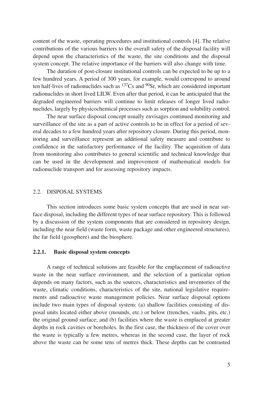content of the waste, operating procedures and institutional controls [4]. The relative contributions of the various barriers to the overall safety of the disposal facility will depend upon the characteristics of the waste, the site conditions and the disposal system concept. The relative importance of the barriers will also change with time.

The duration of post-closure institutional controls can be expected to be up to a few hundred years. A period of 300 years, for example, would correspond to around ten half-lives of radionuclides such as  $137Cs$  and  $90Sr$ , which are considered important radionuclides in short lived LILW. Even after that period, it can be anticipated that the degraded engineered barriers will continue to limit releases of longer lived radionuclides, largely by physicochemical processes such as sorption and solubility control.

The near surface disposal concept usually envisages continued monitoring and surveillance of the site as a part of active controls to be in effect for a period of several decades to a few hundred years after repository closure. During this period, monitoring and surveillance represent an additional safety measure and contribute to confidence in the satisfactory performance of the facility. The acquisition of data from monitoring also contributes to general scientific and technical knowledge that can be used in the development and improvement of mathematical models for radionuclide transport and for assessing repository impacts.

#### 2.2. DISPOSAL SYSTEMS

This section introduces some basic system concepts that are used in near surface disposal, including the different types of near surface repository. This is followed by a discussion of the system components that are considered in repository design, including the near field (waste form, waste package and other engineered structures), the far field (geosphere) and the biosphere.

#### **2.2.1. Basic disposal system concepts**

A range of technical solutions are feasible for the emplacement of radioactive waste in the near surface environment, and the selection of a particular option depends on many factors, such as the sources, characteristics and inventories of the waste, climatic conditions, characteristics of the site, national legislative requirements and radioactive waste management policies. Near surface disposal options include two main types of disposal system: (a) shallow facilities consisting of disposal units located either above (mounds, etc.) or below (trenches, vaults, pits, etc.) the original ground surface; and (b) facilities where the waste is emplaced at greater depths in rock cavities or boreholes. In the first case, the thickness of the cover over the waste is typically a few metres, whereas in the second case, the layer of rock above the waste can be some tens of metres thick. These depths can be contrasted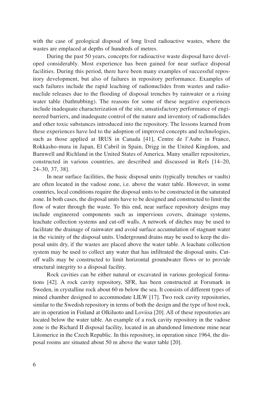with the case of geological disposal of long lived radioactive wastes, where the wastes are emplaced at depths of hundreds of metres.

During the past 50 years, concepts for radioactive waste disposal have developed considerably. Most experience has been gained for near surface disposal facilities. During this period, there have been many examples of successful repository development, but also of failures in repository performance. Examples of such failures include the rapid leaching of radionuclides from wastes and radionuclide releases due to the flooding of disposal trenches by rainwater or a rising water table (bathtubbing). The reasons for some of these negative experiences include inadequate characterization of the site, unsatisfactory performance of engineered barriers, and inadequate control of the nature and inventory of radionuclides and other toxic substances introduced into the repository. The lessons learned from these experiences have led to the adoption of improved concepts and technologies, such as those applied at IRUS in Canada [41], Centre de l'Aube in France, Rokkasho-mura in Japan, El Cabril in Spain, Drigg in the United Kingdom, and Barnwell and Richland in the United States of America. Many smaller repositories, constructed in various countries, are described and discussed in Refs [14–20, 24–30, 37, 38].

In near surface facilities, the basic disposal units (typically trenches or vaults) are often located in the vadose zone, i.e. above the water table. However, in some countries, local conditions require the disposal units to be constructed in the saturated zone. In both cases, the disposal units have to be designed and constructed to limit the flow of water through the waste. To this end, near surface repository designs may include engineered components such as impervious covers, drainage systems, leachate collection systems and cut-off walls. A network of ditches may be used to facilitate the drainage of rainwater and avoid surface accumulation of stagnant water in the vicinity of the disposal units. Underground drains may be used to keep the disposal units dry, if the wastes are placed above the water table. A leachate collection system may be used to collect any water that has infiltrated the disposal units. Cutoff walls may be constructed to limit horizontal groundwater flows or to provide structural integrity to a disposal facility.

Rock cavities can be either natural or excavated in various geological formations [42]. A rock cavity repository, SFR, has been constructed at Forsmark in Sweden, in crystalline rock about 60 m below the sea. It consists of different types of mined chamber designed to accommodate LILW [17]. Two rock cavity repositories, similar to the Swedish repository in terms of both the design and the type of host rock, are in operation in Finland at Olkiluoto and Loviisa [20]. All of these repositories are located below the water table. An example of a rock cavity repository in the vadose zone is the Richard II disposal facility, located in an abandoned limestone mine near Litomerice in the Czech Republic. In this repository, in operation since 1964, the disposal rooms are situated about 50 m above the water table [20].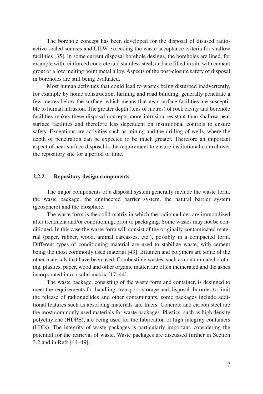The borehole concept has been developed for the disposal of disused radioactive sealed sources and LILW exceeding the waste acceptance criteria for shallow facilities [35]. In some current disposal borehole designs, the boreholes are lined, for example with reinforced concrete and stainless steel, and are filled in situ with cement grout or a low melting point metal alloy. Aspects of the post-closure safety of disposal in boreholes are still being evaluated.

Most human activities that could lead to wastes being disturbed inadvertently, for example by home construction, farming and road building, generally penetrate a few metres below the surface, which means that near surface facilities are susceptible to human intrusion. The greater depth (tens of metres) of rock cavity and borehole facilities makes these disposal concepts more intrusion resistant than shallow near surface facilities and therefore less dependent on institutional controls to ensure safety. Exceptions are activities such as mining and the drilling of wells, where the depth of penetration can be expected to be much greater. Therefore an important aspect of near surface disposal is the requirement to ensure institutional control over the repository site for a period of time.

#### **2.2.2. Repository design components**

The major components of a disposal system generally include the waste form, the waste package, the engineered barrier system, the natural barrier system (geosphere) and the biosphere.

The waste form is the solid matrix in which the radionuclides are immobilized after treatment and/or conditioning, prior to packaging. Some wastes may not be conditioned. In this case the waste form will consist of the originally contaminated material (paper, rubber, wood, animal carcasses, etc.), possibly in a compacted form. Different types of conditioning material are used to stabilize waste, with cement being the most commonly used material [43]. Bitumen and polymers are some of the other materials that have been used. Combustible wastes, such as contaminated clothing, plastics, paper, wood and other organic matter, are often incinerated and the ashes incorporated into a solid matrix [17, 44].

The waste package, consisting of the waste form and container, is designed to meet the requirements for handling, transport, storage and disposal. In order to limit the release of radionuclides and other contaminants, some packages include additional features such as absorbing materials and liners. Concrete and carbon steel are the most commonly used materials for waste packages. Plastics, such as high density polyethylene (HDPE), are being used for the fabrication of high integrity containers (HICs). The integrity of waste packages is particularly important, considering the potential for the retrieval of waste. Waste packages are discussed further in Section 3.2 and in Refs [44–49].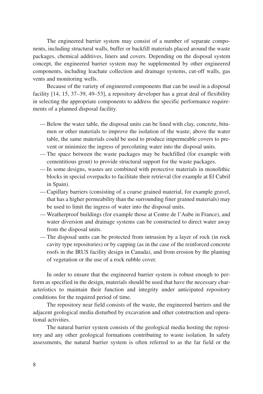The engineered barrier system may consist of a number of separate components, including structural walls, buffer or backfill materials placed around the waste packages, chemical additives, liners and covers. Depending on the disposal system concept, the engineered barrier system may be supplemented by other engineered components, including leachate collection and drainage systems, cut-off walls, gas vents and monitoring wells.

Because of the variety of engineered components that can be used in a disposal facility [14, 15, 37–39, 49–53], a repository developer has a great deal of flexibility in selecting the appropriate components to address the specific performance requirements of a planned disposal facility.

- Below the water table, the disposal units can be lined with clay, concrete, bitumen or other materials to improve the isolation of the waste; above the water table, the same materials could be used to produce impermeable covers to prevent or minimize the ingress of percolating water into the disposal units.
- The space between the waste packages may be backfilled (for example with cementitious grout) to provide structural support for the waste packages.
- In some designs, wastes are combined with protective materials in monolithic blocks in special overpacks to facilitate their retrieval (for example at El Cabril in Spain).
- Capillary barriers (consisting of a coarse grained material, for example gravel, that has a higher permeability than the surrounding finer grained materials) may be used to limit the ingress of water into the disposal units.
- Weatherproof buildings (for example those at Centre de l'Aube in France), and water diversion and drainage systems can be constructed to direct water away from the disposal units.
- The disposal units can be protected from intrusion by a layer of rock (in rock cavity type repositories) or by capping (as in the case of the reinforced concrete roofs in the IRUS facility design in Canada), and from erosion by the planting of vegetation or the use of a rock rubble cover.

In order to ensure that the engineered barrier system is robust enough to perform as specified in the design, materials should be used that have the necessary characteristics to maintain their function and integrity under anticipated repository conditions for the required period of time.

The repository near field consists of the waste, the engineered barriers and the adjacent geological media disturbed by excavation and other construction and operational activities.

The natural barrier system consists of the geological media hosting the repository and any other geological formations contributing to waste isolation. In safety assessments, the natural barrier system is often referred to as the far field or the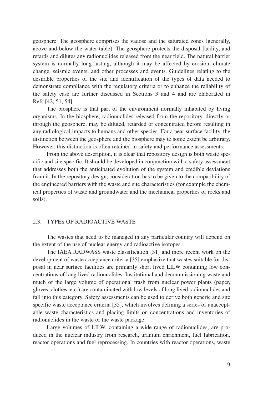geosphere. The geosphere comprises the vadose and the saturated zones (generally, above and below the water table). The geosphere protects the disposal facility, and retards and dilutes any radionuclides released from the near field. The natural barrier system is normally long lasting, although it may be affected by erosion, climate change, seismic events, and other processes and events. Guidelines relating to the desirable properties of the site and identification of the types of data needed to demonstrate compliance with the regulatory criteria or to enhance the reliability of the safety case are further discussed in Sections 3 and 4 and are elaborated in Refs [42, 51, 54].

The biosphere is that part of the environment normally inhabited by living organisms. In the biosphere, radionuclides released from the repository, directly or through the geosphere, may be diluted, retarded or concentrated before resulting in any radiological impacts to humans and other species. For a near surface facility, the distinction between the geosphere and the biosphere may to some extent be arbitrary. However, this distinction is often retained in safety and performance assessments.

From the above description, it is clear that repository design is both waste specific and site specific. It should be developed in conjunction with a safety assessment that addresses both the anticipated evolution of the system and credible deviations from it. In the repository design, consideration has to be given to the compatibility of the engineered barriers with the waste and site characteristics (for example the chemical properties of waste and groundwater and the mechanical properties of rocks and soils).

#### 2.3. TYPES OF RADIOACTIVE WASTE

The wastes that need to be managed in any particular country will depend on the extent of the use of nuclear energy and radioactive isotopes.

The IAEA RADWASS waste classification [31] and more recent work on the development of waste acceptance criteria [35] emphasize that wastes suitable for disposal in near surface facilities are primarily short lived LILW containing low concentrations of long lived radionuclides. Institutional and decommissioning waste and much of the large volume of operational trash from nuclear power plants (paper, gloves, clothes, etc.) are contaminated with low levels of long lived radionuclides and fall into this category. Safety assessments can be used to derive both generic and site specific waste acceptance criteria [35], which involves defining a series of unacceptable waste characteristics and placing limits on concentrations and inventories of radionuclides in the waste or the waste package.

Large volumes of LILW, containing a wide range of radionuclides, are produced in the nuclear industry from research, uranium enrichment, fuel fabrication, reactor operations and fuel reprocessing. In countries with reactor operations, waste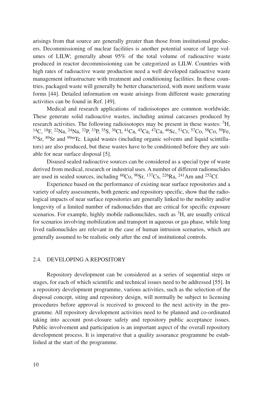arisings from that source are generally greater than those from institutional producers. Decommissioning of nuclear facilities is another potential source of large volumes of LILW; generally about 95% of the total volume of radioactive waste produced in reactor decommissioning can be categorized as LILW. Countries with high rates of radioactive waste production need a well developed radioactive waste management infrastructure with treatment and conditioning facilities. In these countries, packaged waste will generally be better characterized, with more uniform waste forms [44]. Detailed information on waste arisings from different waste generating activities can be found in Ref. [49].

Medical and research applications of radioisotopes are common worldwide. These generate solid radioactive wastes, including animal carcasses produced by research activities. The following radioisotopes may be present in these wastes:  ${}^{3}H$ , 14C, 18F, 22Na, 24Na, 32P, 33P, 35S, 36Cl, 41Ca, 45Ca, 47Ca, 46Sc, 51Cr, 57Co, 58Co, 59Fe, 85Sr, 89Sr and 99mTc. Liquid wastes (including organic solvents and liquid scintillators) are also produced, but these wastes have to be conditioned before they are suitable for near surface disposal [5].

Disused sealed radioactive sources can be considered as a special type of waste derived from medical, research or industrial uses. A number of different radionuclides are used in sealed sources, including  ${}^{60}Co$ ,  ${}^{90}Sr$ ,  ${}^{137}Cs$ ,  ${}^{226}Ra$ ,  ${}^{241}Am$  and  ${}^{252}Cf$ .

Experience based on the performance of existing near surface repositories and a variety of safety assessments, both generic and repository specific, show that the radiological impacts of near surface repositories are generally linked to the mobility and/or longevity of a limited number of radionuclides that are critical for specific exposure scenarios. For example, highly mobile radionuclides, such as <sup>3</sup>H, are usually critical for scenarios involving mobilization and transport in aqueous or gas phase, while long lived radionuclides are relevant in the case of human intrusion scenarios, which are generally assumed to be realistic only after the end of institutional controls.

#### 2.4. DEVELOPING A REPOSITORY

Repository development can be considered as a series of sequential steps or stages, for each of which scientific and technical issues need to be addressed [55]. In a repository development programme, various activities, such as the selection of the disposal concept, siting and repository design, will normally be subject to licensing procedures before approval is received to proceed to the next activity in the programme. All repository development activities need to be planned and co-ordinated taking into account post-closure safety and repository public acceptance issues. Public involvement and participation is an important aspect of the overall repository development process. It is imperative that a quality assurance programme be established at the start of the programme.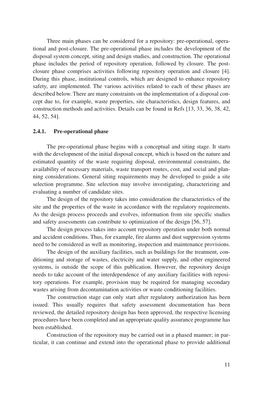Three main phases can be considered for a repository: pre-operational, operational and post-closure. The pre-operational phase includes the development of the disposal system concept, siting and design studies, and construction. The operational phase includes the period of repository operation, followed by closure. The postclosure phase comprises activities following repository operation and closure [4]. During this phase, institutional controls, which are designed to enhance repository safety, are implemented. The various activities related to each of these phases are described below. There are many constraints on the implementation of a disposal concept due to, for example, waste properties, site characteristics, design features, and construction methods and activities. Details can be found in Refs [13, 33, 36, 38, 42, 44, 52, 54].

#### **2.4.1. Pre-operational phase**

The pre-operational phase begins with a conceptual and siting stage. It starts with the development of the initial disposal concept, which is based on the nature and estimated quantity of the waste requiring disposal, environmental constraints, the availability of necessary materials, waste transport routes, cost, and social and planning considerations. General siting requirements may be developed to guide a site selection programme. Site selection may involve investigating, characterizing and evaluating a number of candidate sites.

The design of the repository takes into consideration the characteristics of the site and the properties of the waste in accordance with the regulatory requirements. As the design process proceeds and evolves, information from site specific studies and safety assessments can contribute to optimization of the design [56, 57].

The design process takes into account repository operation under both normal and accident conditions. Thus, for example, fire alarms and dust suppression systems need to be considered as well as monitoring, inspection and maintenance provisions.

The design of the auxiliary facilities, such as buildings for the treatment, conditioning and storage of wastes, electricity and water supply, and other engineered systems, is outside the scope of this publication. However, the repository design needs to take account of the interdependence of any auxiliary facilities with repository operations. For example, provision may be required for managing secondary wastes arising from decontamination activities or waste conditioning facilities.

The construction stage can only start after regulatory authorization has been issued. This usually requires that safety assessment documentation has been reviewed, the detailed repository design has been approved, the respective licensing procedures have been completed and an appropriate quality assurance programme has been established.

Construction of the repository may be carried out in a phased manner; in particular, it can continue and extend into the operational phase to provide additional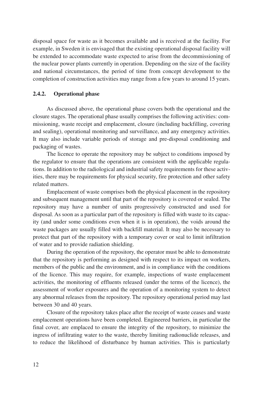disposal space for waste as it becomes available and is received at the facility. For example, in Sweden it is envisaged that the existing operational disposal facility will be extended to accommodate waste expected to arise from the decommissioning of the nuclear power plants currently in operation. Depending on the size of the facility and national circumstances, the period of time from concept development to the completion of construction activities may range from a few years to around 15 years.

#### **2.4.2. Operational phase**

As discussed above, the operational phase covers both the operational and the closure stages. The operational phase usually comprises the following activities: commissioning, waste receipt and emplacement, closure (including backfilling, covering and sealing), operational monitoring and surveillance, and any emergency activities. It may also include variable periods of storage and pre-disposal conditioning and packaging of wastes.

The licence to operate the repository may be subject to conditions imposed by the regulator to ensure that the operations are consistent with the applicable regulations. In addition to the radiological and industrial safety requirements for these activities, there may be requirements for physical security, fire protection and other safety related matters.

Emplacement of waste comprises both the physical placement in the repository and subsequent management until that part of the repository is covered or sealed. The repository may have a number of units progressively constructed and used for disposal. As soon as a particular part of the repository is filled with waste to its capacity (and under some conditions even when it is in operation), the voids around the waste packages are usually filled with backfill material. It may also be necessary to protect that part of the repository with a temporary cover or seal to limit infiltration of water and to provide radiation shielding.

During the operation of the repository, the operator must be able to demonstrate that the repository is performing as designed with respect to its impact on workers, members of the public and the environment, and is in compliance with the conditions of the licence. This may require, for example, inspections of waste emplacement activities, the monitoring of effluents released (under the terms of the licence), the assessment of worker exposures and the operation of a monitoring system to detect any abnormal releases from the repository. The repository operational period may last between 30 and 40 years.

Closure of the repository takes place after the receipt of waste ceases and waste emplacement operations have been completed. Engineered barriers, in particular the final cover, are emplaced to ensure the integrity of the repository, to minimize the ingress of infiltrating water to the waste, thereby limiting radionuclide releases, and to reduce the likelihood of disturbance by human activities. This is particularly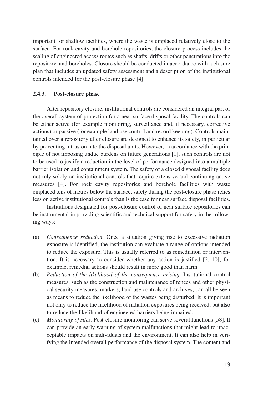important for shallow facilities, where the waste is emplaced relatively close to the surface. For rock cavity and borehole repositories, the closure process includes the sealing of engineered access routes such as shafts, drifts or other penetrations into the repository, and boreholes. Closure should be conducted in accordance with a closure plan that includes an updated safety assessment and a description of the institutional controls intended for the post-closure phase [4].

#### **2.4.3. Post-closure phase**

After repository closure, institutional controls are considered an integral part of the overall system of protection for a near surface disposal facility. The controls can be either active (for example monitoring, surveillance and, if necessary, corrective actions) or passive (for example land use control and record keeping). Controls maintained over a repository after closure are designed to enhance its safety, in particular by preventing intrusion into the disposal units. However, in accordance with the principle of not imposing undue burdens on future generations [1], such controls are not to be used to justify a reduction in the level of performance designed into a multiple barrier isolation and containment system. The safety of a closed disposal facility does not rely solely on institutional controls that require extensive and continuing active measures [4]. For rock cavity repositories and borehole facilities with waste emplaced tens of metres below the surface, safety during the post-closure phase relies less on active institutional controls than is the case for near surface disposal facilities.

Institutions designated for post-closure control of near surface repositories can be instrumental in providing scientific and technical support for safety in the following ways:

- (a) *Consequence reduction.* Once a situation giving rise to excessive radiation exposure is identified, the institution can evaluate a range of options intended to reduce the exposure. This is usually referred to as remediation or intervention. It is necessary to consider whether any action is justified [2, 10]; for example, remedial actions should result in more good than harm.
- (b) *Reduction of the likelihood of the consequence arising.* Institutional control measures, such as the construction and maintenance of fences and other physical security measures, markers, land use controls and archives, can all be seen as means to reduce the likelihood of the wastes being disturbed. It is important not only to reduce the likelihood of radiation exposures being received, but also to reduce the likelihood of engineered barriers being impaired.
- (c) *Monitoring of sites.* Post-closure monitoring can serve several functions [58]. It can provide an early warning of system malfunctions that might lead to unacceptable impacts on individuals and the environment. It can also help in verifying the intended overall performance of the disposal system. The content and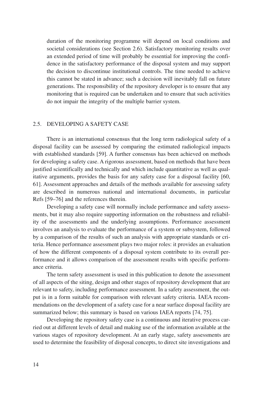duration of the monitoring programme will depend on local conditions and societal considerations (see Section 2.6). Satisfactory monitoring results over an extended period of time will probably be essential for improving the confidence in the satisfactory performance of the disposal system and may support the decision to discontinue institutional controls. The time needed to achieve this cannot be stated in advance; such a decision will inevitably fall on future generations. The responsibility of the repository developer is to ensure that any monitoring that is required can be undertaken and to ensure that such activities do not impair the integrity of the multiple barrier system.

#### 2.5. DEVELOPING A SAFETY CASE

There is an international consensus that the long term radiological safety of a disposal facility can be assessed by comparing the estimated radiological impacts with established standards [59]. A further consensus has been achieved on methods for developing a safety case. A rigorous assessment, based on methods that have been justified scientifically and technically and which include quantitative as well as qualitative arguments, provides the basis for any safety case for a disposal facility [60, 61]. Assessment approaches and details of the methods available for assessing safety are described in numerous national and international documents, in particular Refs [59–76] and the references therein.

Developing a safety case will normally include performance and safety assessments, but it may also require supporting information on the robustness and reliability of the assessments and the underlying assumptions. Performance assessment involves an analysis to evaluate the performance of a system or subsystem, followed by a comparison of the results of such an analysis with appropriate standards or criteria. Hence performance assessment plays two major roles: it provides an evaluation of how the different components of a disposal system contribute to its overall performance and it allows comparison of the assessment results with specific performance criteria.

The term safety assessment is used in this publication to denote the assessment of all aspects of the siting, design and other stages of repository development that are relevant to safety, including performance assessment. In a safety assessment, the output is in a form suitable for comparison with relevant safety criteria. IAEA recommendations on the development of a safety case for a near surface disposal facility are summarized below; this summary is based on various IAEA reports [74, 75].

Developing the repository safety case is a continuous and iterative process carried out at different levels of detail and making use of the information available at the various stages of repository development. At an early stage, safety assessments are used to determine the feasibility of disposal concepts, to direct site investigations and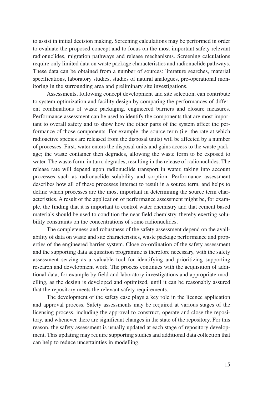to assist in initial decision making. Screening calculations may be performed in order to evaluate the proposed concept and to focus on the most important safety relevant radionuclides, migration pathways and release mechanisms. Screening calculations require only limited data on waste package characteristics and radionuclide pathways. These data can be obtained from a number of sources: literature searches, material specifications, laboratory studies, studies of natural analogues, pre-operational monitoring in the surrounding area and preliminary site investigations.

Assessments, following concept development and site selection, can contribute to system optimization and facility design by comparing the performances of different combinations of waste packaging, engineered barriers and closure measures. Performance assessment can be used to identify the components that are most important to overall safety and to show how the other parts of the system affect the performance of those components. For example, the source term (i.e. the rate at which radioactive species are released from the disposal units) will be affected by a number of processes. First, water enters the disposal units and gains access to the waste package; the waste container then degrades, allowing the waste form to be exposed to water. The waste form, in turn, degrades, resulting in the release of radionuclides. The release rate will depend upon radionuclide transport in water, taking into account processes such as radionuclide solubility and sorption. Performance assessment describes how all of these processes interact to result in a source term, and helps to define which processes are the most important in determining the source term characteristics. A result of the application of performance assessment might be, for example, the finding that it is important to control water chemistry and that cement based materials should be used to condition the near field chemistry, thereby exerting solubility constraints on the concentrations of some radionuclides.

The completeness and robustness of the safety assessment depend on the availability of data on waste and site characteristics, waste package performance and properties of the engineered barrier system. Close co-ordination of the safety assessment and the supporting data acquisition programme is therefore necessary, with the safety assessment serving as a valuable tool for identifying and prioritizing supporting research and development work. The process continues with the acquisition of additional data, for example by field and laboratory investigations and appropriate modelling, as the design is developed and optimized, until it can be reasonably assured that the repository meets the relevant safety requirements.

The development of the safety case plays a key role in the licence application and approval process. Safety assessments may be required at various stages of the licensing process, including the approval to construct, operate and close the repository, and whenever there are significant changes in the state of the repository. For this reason, the safety assessment is usually updated at each stage of repository development. This updating may require supporting studies and additional data collection that can help to reduce uncertainties in modelling.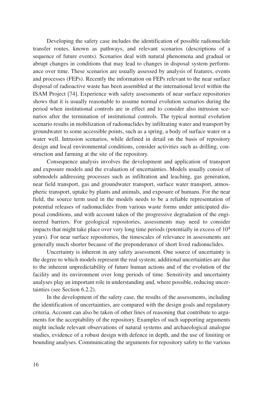Developing the safety case includes the identification of possible radionuclide transfer routes, known as pathways, and relevant scenarios (descriptions of a sequence of future events). Scenarios deal with natural phenomena and gradual or abrupt changes in conditions that may lead to changes in disposal system performance over time. These scenarios are usually assessed by analysis of features, events and processes (FEPs). Recently the information on FEPs relevant to the near surface disposal of radioactive waste has been assembled at the international level within the ISAM Project [74]. Experience with safety assessments of near surface repositories shows that it is usually reasonable to assume normal evolution scenarios during the period when institutional controls are in effect and to consider also intrusion scenarios after the termination of institutional controls. The typical normal evolution scenario results in mobilization of radionuclides by infiltrating water and transport by groundwater to some accessible points, such as a spring, a body of surface water or a water well. Intrusion scenarios, while defined in detail on the basis of repository design and local environmental conditions, consider activities such as drilling, construction and farming at the site of the repository.

Consequence analysis involves the development and application of transport and exposure models and the evaluation of uncertainties. Models usually consist of submodels addressing processes such as infiltration and leaching, gas generation, near field transport, gas and groundwater transport, surface water transport, atmospheric transport, uptake by plants and animals, and exposure of humans. For the near field, the source term used in the models needs to be a reliable representation of potential releases of radionuclides from various waste forms under anticipated disposal conditions, and with account taken of the progressive degradation of the engineered barriers. For geological repositories, assessments may need to consider impacts that might take place over very long time periods (potentially in excess of  $10<sup>4</sup>$ years). For near surface repositories, the timescales of relevance in assessments are generally much shorter because of the preponderance of short lived radionuclides.

Uncertainty is inherent in any safety assessment. One source of uncertainty is the degree to which models represent the real system; additional uncertainties are due to the inherent unpredictability of future human actions and of the evolution of the facility and its environment over long periods of time. Sensitivity and uncertainty analyses play an important role in understanding and, where possible, reducing uncertainties (see Section 6.2.2).

In the development of the safety case, the results of the assessments, including the identification of uncertainties, are compared with the design goals and regulatory criteria. Account can also be taken of other lines of reasoning that contribute to arguments for the acceptability of the repository. Examples of such supporting arguments might include relevant observations of natural systems and archaeological analogue studies, evidence of a robust design with defence in depth, and the use of limiting or bounding analyses. Communicating the arguments for repository safety to the various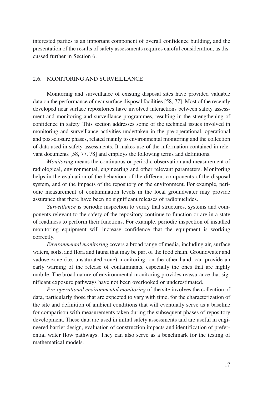interested parties is an important component of overall confidence building, and the presentation of the results of safety assessments requires careful consideration, as discussed further in Section 6.

#### 2.6. MONITORING AND SURVEILLANCE

Monitoring and surveillance of existing disposal sites have provided valuable data on the performance of near surface disposal facilities [58, 77]. Most of the recently developed near surface repositories have involved interactions between safety assessment and monitoring and surveillance programmes, resulting in the strengthening of confidence in safety. This section addresses some of the technical issues involved in monitoring and surveillance activities undertaken in the pre-operational, operational and post-closure phases, related mainly to environmental monitoring and the collection of data used in safety assessments. It makes use of the information contained in relevant documents [58, 77, 78] and employs the following terms and definitions.

*Monitoring* means the continuous or periodic observation and measurement of radiological, environmental, engineering and other relevant parameters. Monitoring helps in the evaluation of the behaviour of the different components of the disposal system, and of the impacts of the repository on the environment. For example, periodic measurement of contamination levels in the local groundwater may provide assurance that there have been no significant releases of radionuclides.

*Surveillance* is periodic inspection to verify that structures, systems and components relevant to the safety of the repository continue to function or are in a state of readiness to perform their functions. For example, periodic inspection of installed monitoring equipment will increase confidence that the equipment is working correctly.

*Environmental monitoring* covers a broad range of media, including air, surface waters, soils, and flora and fauna that may be part of the food chain. Groundwater and vadose zone (i.e. unsaturated zone) monitoring, on the other hand, can provide an early warning of the release of contaminants, especially the ones that are highly mobile. The broad nature of environmental monitoring provides reassurance that significant exposure pathways have not been overlooked or underestimated.

*Pre-operational environmental monitoring* of the site involves the collection of data, particularly those that are expected to vary with time, for the characterization of the site and definition of ambient conditions that will eventually serve as a baseline for comparison with measurements taken during the subsequent phases of repository development. These data are used in initial safety assessments and are useful in engineered barrier design, evaluation of construction impacts and identification of preferential water flow pathways. They can also serve as a benchmark for the testing of mathematical models.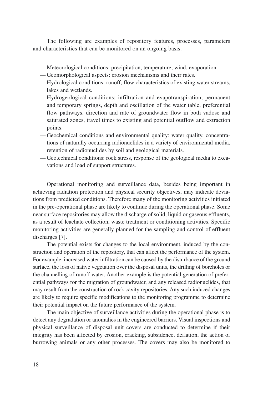The following are examples of repository features, processes, parameters and characteristics that can be monitored on an ongoing basis.

- Meteorological conditions: precipitation, temperature, wind, evaporation.
- Geomorphological aspects: erosion mechanisms and their rates.
- Hydrological conditions: runoff, flow characteristics of existing water streams, lakes and wetlands.
- Hydrogeological conditions: infiltration and evapotranspiration, permanent and temporary springs, depth and oscillation of the water table, preferential flow pathways, direction and rate of groundwater flow in both vadose and saturated zones, travel times to existing and potential outflow and extraction points.
- Geochemical conditions and environmental quality: water quality, concentrations of naturally occurring radionuclides in a variety of environmental media, retention of radionuclides by soil and geological materials.
- Geotechnical conditions: rock stress, response of the geological media to excavations and load of support structures.

Operational monitoring and surveillance data, besides being important in achieving radiation protection and physical security objectives, may indicate deviations from predicted conditions. Therefore many of the monitoring activities initiated in the pre-operational phase are likely to continue during the operational phase. Some near surface repositories may allow the discharge of solid, liquid or gaseous effluents, as a result of leachate collection, waste treatment or conditioning activities. Specific monitoring activities are generally planned for the sampling and control of effluent discharges [7].

The potential exists for changes to the local environment, induced by the construction and operation of the repository, that can affect the performance of the system. For example, increased water infiltration can be caused by the disturbance of the ground surface, the loss of native vegetation over the disposal units, the drilling of boreholes or the channelling of runoff water. Another example is the potential generation of preferential pathways for the migration of groundwater, and any released radionuclides, that may result from the construction of rock cavity repositories. Any such induced changes are likely to require specific modifications to the monitoring programme to determine their potential impact on the future performance of the system.

The main objective of surveillance activities during the operational phase is to detect any degradation or anomalies in the engineered barriers. Visual inspections and physical surveillance of disposal unit covers are conducted to determine if their integrity has been affected by erosion, cracking, subsidence, deflation, the action of burrowing animals or any other processes. The covers may also be monitored to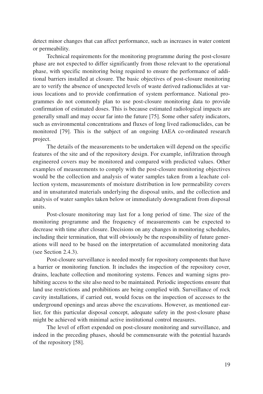detect minor changes that can affect performance, such as increases in water content or permeability.

Technical requirements for the monitoring programme during the post-closure phase are not expected to differ significantly from those relevant to the operational phase, with specific monitoring being required to ensure the performance of additional barriers installed at closure. The basic objectives of post-closure monitoring are to verify the absence of unexpected levels of waste derived radionuclides at various locations and to provide confirmation of system performance. National programmes do not commonly plan to use post-closure monitoring data to provide confirmation of estimated doses. This is because estimated radiological impacts are generally small and may occur far into the future [75]. Some other safety indicators, such as environmental concentrations and fluxes of long lived radionuclides, can be monitored [79]. This is the subject of an ongoing IAEA co-ordinated research project.

The details of the measurements to be undertaken will depend on the specific features of the site and of the repository design. For example, infiltration through engineered covers may be monitored and compared with predicted values. Other examples of measurements to comply with the post-closure monitoring objectives would be the collection and analysis of water samples taken from a leachate collection system, measurements of moisture distribution in low permeability covers and in unsaturated materials underlying the disposal units, and the collection and analysis of water samples taken below or immediately downgradient from disposal units.

Post-closure monitoring may last for a long period of time. The size of the monitoring programme and the frequency of measurements can be expected to decrease with time after closure. Decisions on any changes in monitoring schedules, including their termination, that will obviously be the responsibility of future generations will need to be based on the interpretation of accumulated monitoring data (see Section 2.4.3).

Post-closure surveillance is needed mostly for repository components that have a barrier or monitoring function. It includes the inspection of the repository cover, drains, leachate collection and monitoring systems. Fences and warning signs prohibiting access to the site also need to be maintained. Periodic inspections ensure that land use restrictions and prohibitions are being complied with. Surveillance of rock cavity installations, if carried out, would focus on the inspection of accesses to the underground openings and areas above the excavations. However, as mentioned earlier, for this particular disposal concept, adequate safety in the post-closure phase might be achieved with minimal active institutional control measures.

The level of effort expended on post-closure monitoring and surveillance, and indeed in the preceding phases, should be commensurate with the potential hazards of the repository [58].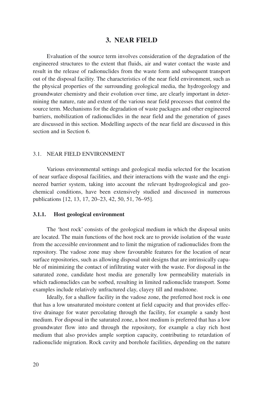#### **3. NEAR FIELD**

Evaluation of the source term involves consideration of the degradation of the engineered structures to the extent that fluids, air and water contact the waste and result in the release of radionuclides from the waste form and subsequent transport out of the disposal facility. The characteristics of the near field environment, such as the physical properties of the surrounding geological media, the hydrogeology and groundwater chemistry and their evolution over time, are clearly important in determining the nature, rate and extent of the various near field processes that control the source term. Mechanisms for the degradation of waste packages and other engineered barriers, mobilization of radionuclides in the near field and the generation of gases are discussed in this section. Modelling aspects of the near field are discussed in this section and in Section 6.

#### 3.1. NEAR FIELD ENVIRONMENT

Various environmental settings and geological media selected for the location of near surface disposal facilities, and their interactions with the waste and the engineered barrier system, taking into account the relevant hydrogeological and geochemical conditions, have been extensively studied and discussed in numerous publications [12, 13, 17, 20–23, 42, 50, 51, 76–95].

#### **3.1.1. Host geological environment**

The 'host rock' consists of the geological medium in which the disposal units are located. The main functions of the host rock are to provide isolation of the waste from the accessible environment and to limit the migration of radionuclides from the repository. The vadose zone may show favourable features for the location of near surface repositories, such as allowing disposal unit designs that are intrinsically capable of minimizing the contact of infiltrating water with the waste. For disposal in the saturated zone, candidate host media are generally low permeability materials in which radionuclides can be sorbed, resulting in limited radionuclide transport. Some examples include relatively unfractured clay, clayey till and mudstone.

Ideally, for a shallow facility in the vadose zone, the preferred host rock is one that has a low unsaturated moisture content at field capacity and that provides effective drainage for water percolating through the facility, for example a sandy host medium. For disposal in the saturated zone, a host medium is preferred that has a low groundwater flow into and through the repository, for example a clay rich host medium that also provides ample sorption capacity, contributing to retardation of radionuclide migration. Rock cavity and borehole facilities, depending on the nature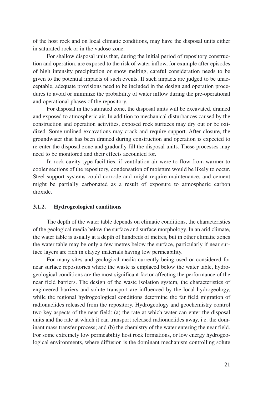of the host rock and on local climatic conditions, may have the disposal units either in saturated rock or in the vadose zone.

For shallow disposal units that, during the initial period of repository construction and operation, are exposed to the risk of water inflow, for example after episodes of high intensity precipitation or snow melting, careful consideration needs to be given to the potential impacts of such events. If such impacts are judged to be unacceptable, adequate provisions need to be included in the design and operation procedures to avoid or minimize the probability of water inflow during the pre-operational and operational phases of the repository.

For disposal in the saturated zone, the disposal units will be excavated, drained and exposed to atmospheric air. In addition to mechanical disturbances caused by the construction and operation activities, exposed rock surfaces may dry out or be oxidized. Some unlined excavations may crack and require support. After closure, the groundwater that has been drained during construction and operation is expected to re-enter the disposal zone and gradually fill the disposal units. These processes may need to be monitored and their effects accounted for.

In rock cavity type facilities, if ventilation air were to flow from warmer to cooler sections of the repository, condensation of moisture would be likely to occur. Steel support systems could corrode and might require maintenance, and cement might be partially carbonated as a result of exposure to atmospheric carbon dioxide.

#### **3.1.2. Hydrogeological conditions**

The depth of the water table depends on climatic conditions, the characteristics of the geological media below the surface and surface morphology. In an arid climate, the water table is usually at a depth of hundreds of metres, but in other climatic zones the water table may be only a few metres below the surface, particularly if near surface layers are rich in clayey materials having low permeability.

For many sites and geological media currently being used or considered for near surface repositories where the waste is emplaced below the water table, hydrogeological conditions are the most significant factor affecting the performance of the near field barriers. The design of the waste isolation system, the characteristics of engineered barriers and solute transport are influenced by the local hydrogeology, while the regional hydrogeological conditions determine the far field migration of radionuclides released from the repository. Hydrogeology and geochemistry control two key aspects of the near field: (a) the rate at which water can enter the disposal units and the rate at which it can transport released radionuclides away, i.e. the dominant mass transfer process; and (b) the chemistry of the water entering the near field. For some extremely low permeability host rock formations, or low energy hydrogeological environments, where diffusion is the dominant mechanism controlling solute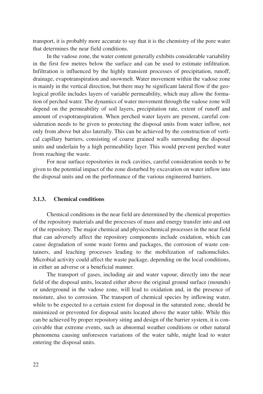transport, it is probably more accurate to say that it is the chemistry of the pore water that determines the near field conditions.

In the vadose zone, the water content generally exhibits considerable variability in the first few metres below the surface and can be used to estimate infiltration. Infiltration is influenced by the highly transient processes of precipitation, runoff, drainage, evapotranspiration and snowmelt. Water movement within the vadose zone is mainly in the vertical direction, but there may be significant lateral flow if the geological profile includes layers of variable permeability, which may allow the formation of perched water. The dynamics of water movement through the vadose zone will depend on the permeability of soil layers, precipitation rate, extent of runoff and amount of evapotranspiration. When perched water layers are present, careful consideration needs to be given to protecting the disposal units from water inflow, not only from above but also laterally. This can be achieved by the construction of vertical capillary barriers, consisting of coarse grained walls surrounding the disposal units and underlain by a high permeability layer. This would prevent perched water from reaching the waste.

For near surface repositories in rock cavities, careful consideration needs to be given to the potential impact of the zone disturbed by excavation on water inflow into the disposal units and on the performance of the various engineered barriers.

#### **3.1.3. Chemical conditions**

Chemical conditions in the near field are determined by the chemical properties of the repository materials and the processes of mass and energy transfer into and out of the repository. The major chemical and physicochemical processes in the near field that can adversely affect the repository components include oxidation, which can cause degradation of some waste forms and packages, the corrosion of waste containers, and leaching processes leading to the mobilization of radionuclides. Microbial activity could affect the waste package, depending on the local conditions, in either an adverse or a beneficial manner.

The transport of gases, including air and water vapour, directly into the near field of the disposal units, located either above the original ground surface (mounds) or underground in the vadose zone, will lead to oxidation and, in the presence of moisture, also to corrosion. The transport of chemical species by inflowing water, while to be expected to a certain extent for disposal in the saturated zone, should be minimized or prevented for disposal units located above the water table. While this can be achieved by proper repository siting and design of the barrier system, it is conceivable that extreme events, such as abnormal weather conditions or other natural phenomena causing unforeseen variations of the water table, might lead to water entering the disposal units.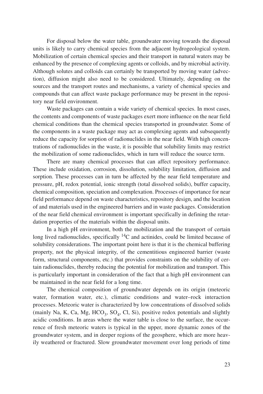For disposal below the water table, groundwater moving towards the disposal units is likely to carry chemical species from the adjacent hydrogeological system. Mobilization of certain chemical species and their transport in natural waters may be enhanced by the presence of complexing agents or colloids, and by microbial activity. Although solutes and colloids can certainly be transported by moving water (advection), diffusion might also need to be considered. Ultimately, depending on the sources and the transport routes and mechanisms, a variety of chemical species and compounds that can affect waste package performance may be present in the repository near field environment.

Waste packages can contain a wide variety of chemical species. In most cases, the contents and components of waste packages exert more influence on the near field chemical conditions than the chemical species transported in groundwater. Some of the components in a waste package may act as complexing agents and subsequently reduce the capacity for sorption of radionuclides in the near field. With high concentrations of radionuclides in the waste, it is possible that solubility limits may restrict the mobilization of some radionuclides, which in turn will reduce the source term.

There are many chemical processes that can affect repository performance. These include oxidation, corrosion, dissolution, solubility limitation, diffusion and sorption. These processes can in turn be affected by the near field temperature and pressure, pH, redox potential, ionic strength (total dissolved solids), buffer capacity, chemical composition, speciation and complexation. Processes of importance for near field performance depend on waste characteristics, repository design, and the location of and materials used in the engineered barriers and in waste packages. Consideration of the near field chemical environment is important specifically in defining the retardation properties of the materials within the disposal units.

In a high pH environment, both the mobilization and the transport of certain long lived radionuclides, specifically  ${}^{14}C$  and actinides, could be limited because of solubility considerations. The important point here is that it is the chemical buffering property, not the physical integrity, of the cementitious engineered barrier (waste form, structural components, etc.) that provides constraints on the solubility of certain radionuclides, thereby reducing the potential for mobilization and transport. This is particularly important in consideration of the fact that a high pH environment can be maintained in the near field for a long time.

The chemical composition of groundwater depends on its origin (meteoric water, formation water, etc.), climatic conditions and water–rock interaction processes. Meteoric water is characterized by low concentrations of dissolved solids (mainly Na, K, Ca, Mg,  $HCO<sub>3</sub>$ , SO<sub>4</sub>, Cl, Si), positive redox potentials and slightly acidic conditions. In areas where the water table is close to the surface, the occurrence of fresh meteoric waters is typical in the upper, more dynamic zones of the groundwater system, and in deeper regions of the geosphere, which are more heavily weathered or fractured. Slow groundwater movement over long periods of time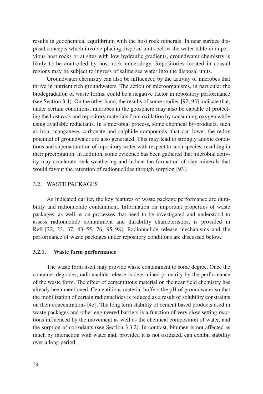results in geochemical equilibrium with the host rock minerals. In near surface disposal concepts which involve placing disposal units below the water table in impervious host rocks or at sites with low hydraulic gradients, groundwater chemistry is likely to be controlled by host rock mineralogy. Repositories located in coastal regions may be subject to ingress of saline sea water into the disposal units.

Groundwater chemistry can also be influenced by the activity of microbes that thrive in nutrient rich groundwaters. The action of microorganisms, in particular the biodegradation of waste forms, could be a negative factor in repository performance (see Section 3.4). On the other hand, the results of some studies [92, 93] indicate that, under certain conditions, microbes in the geosphere may also be capable of protecting the host rock and repository materials from oxidation by consuming oxygen while using available reductants. In a microbial process, some chemical by-products, such as iron, manganese, carbonate and sulphide compounds, that can lower the redox potential of groundwater are also generated. This may lead to strongly anoxic conditions and supersaturation of repository water with respect to such species, resulting in their precipitation. In addition, some evidence has been gathered that microbial activity may accelerate rock weathering and induce the formation of clay minerals that would favour the retention of radionuclides through sorption [93].

#### 3.2. WASTE PACKAGES

As indicated earlier, the key features of waste package performance are durability and radionuclide containment. Information on important properties of waste packages, as well as on processes that need to be investigated and understood to assess radionuclide containment and durability characteristics, is provided in Refs [22, 23, 37, 43–55, 76, 95–98]. Radionuclide release mechanisms and the performance of waste packages under repository conditions are discussed below.

#### **3.2.1. Waste form performance**

The waste form itself may provide waste containment to some degree. Once the container degrades, radionuclide release is determined primarily by the performance of the waste form. The effect of cementitious material on the near field chemistry has already been mentioned. Cementitious material buffers the pH of groundwater so that the mobilization of certain radionuclides is reduced as a result of solubility constraints on their concentrations [43]. The long term stability of cement based products used in waste packages and other engineered barriers is a function of very slow setting reactions influenced by the movement as well as the chemical composition of water, and the sorption of corrodants (see Section 3.3.2). In contrast, bitumen is not affected as much by interaction with water and, provided it is not oxidized, can exhibit stability over a long period.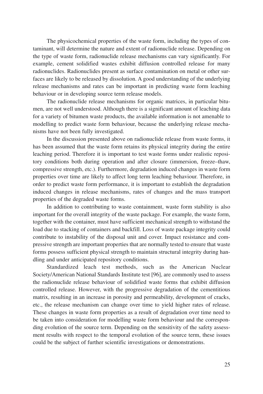The physicochemical properties of the waste form, including the types of contaminant, will determine the nature and extent of radionuclide release. Depending on the type of waste form, radionuclide release mechanisms can vary significantly. For example, cement solidified wastes exhibit diffusion controlled release for many radionuclides. Radionuclides present as surface contamination on metal or other surfaces are likely to be released by dissolution. A good understanding of the underlying release mechanisms and rates can be important in predicting waste form leaching behaviour or in developing source term release models.

The radionuclide release mechanisms for organic matrices, in particular bitumen, are not well understood. Although there is a significant amount of leaching data for a variety of bitumen waste products, the available information is not amenable to modelling to predict waste form behaviour, because the underlying release mechanisms have not been fully investigated.

In the discussion presented above on radionuclide release from waste forms, it has been assumed that the waste form retains its physical integrity during the entire leaching period. Therefore it is important to test waste forms under realistic repository conditions both during operation and after closure (immersion, freeze–thaw, compressive strength, etc.). Furthermore, degradation induced changes in waste form properties over time are likely to affect long term leaching behaviour. Therefore, in order to predict waste form performance, it is important to establish the degradation induced changes in release mechanisms, rates of changes and the mass transport properties of the degraded waste forms.

In addition to contributing to waste containment, waste form stability is also important for the overall integrity of the waste package. For example, the waste form, together with the container, must have sufficient mechanical strength to withstand the load due to stacking of containers and backfill. Loss of waste package integrity could contribute to instability of the disposal unit and cover. Impact resistance and compressive strength are important properties that are normally tested to ensure that waste forms possess sufficient physical strength to maintain structural integrity during handling and under anticipated repository conditions.

Standardized leach test methods, such as the American Nuclear Society/American National Standards Institute test [96], are commonly used to assess the radionuclide release behaviour of solidified waste forms that exhibit diffusion controlled release. However, with the progressive degradation of the cementitious matrix, resulting in an increase in porosity and permeability, development of cracks, etc., the release mechanism can change over time to yield higher rates of release. These changes in waste form properties as a result of degradation over time need to be taken into consideration for modelling waste form behaviour and the corresponding evolution of the source term. Depending on the sensitivity of the safety assessment results with respect to the temporal evolution of the source term, these issues could be the subject of further scientific investigations or demonstrations.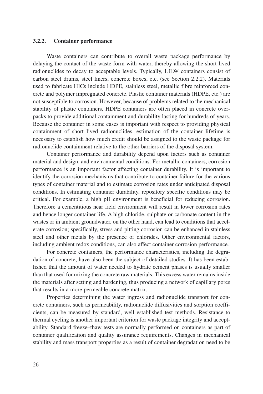#### **3.2.2. Container performance**

Waste containers can contribute to overall waste package performance by delaying the contact of the waste form with water, thereby allowing the short lived radionuclides to decay to acceptable levels. Typically, LILW containers consist of carbon steel drums, steel liners, concrete boxes, etc. (see Section 2.2.2). Materials used to fabricate HICs include HDPE, stainless steel, metallic fibre reinforced concrete and polymer impregnated concrete. Plastic container materials (HDPE, etc.) are not susceptible to corrosion. However, because of problems related to the mechanical stability of plastic containers, HDPE containers are often placed in concrete overpacks to provide additional containment and durability lasting for hundreds of years. Because the container in some cases is important with respect to providing physical containment of short lived radionuclides, estimation of the container lifetime is necessary to establish how much credit should be assigned to the waste package for radionuclide containment relative to the other barriers of the disposal system.

Container performance and durability depend upon factors such as container material and design, and environmental conditions. For metallic containers, corrosion performance is an important factor affecting container durability. It is important to identify the corrosion mechanisms that contribute to container failure for the various types of container material and to estimate corrosion rates under anticipated disposal conditions. In estimating container durability, repository specific conditions may be critical. For example, a high pH environment is beneficial for reducing corrosion. Therefore a cementitious near field environment will result in lower corrosion rates and hence longer container life. A high chloride, sulphate or carbonate content in the wastes or in ambient groundwater, on the other hand, can lead to conditions that accelerate corrosion; specifically, stress and pitting corrosion can be enhanced in stainless steel and other metals by the presence of chlorides. Other environmental factors, including ambient redox conditions, can also affect container corrosion performance.

For concrete containers, the performance characteristics, including the degradation of concrete, have also been the subject of detailed studies. It has been established that the amount of water needed to hydrate cement phases is usually smaller than that used for mixing the concrete raw materials. This excess water remains inside the materials after setting and hardening, thus producing a network of capillary pores that results in a more permeable concrete matrix.

Properties determining the water ingress and radionuclide transport for concrete containers, such as permeability, radionuclide diffusivities and sorption coefficients, can be measured by standard, well established test methods. Resistance to thermal cycling is another important criterion for waste package integrity and acceptability. Standard freeze–thaw tests are normally performed on containers as part of container qualification and quality assurance requirements. Changes in mechanical stability and mass transport properties as a result of container degradation need to be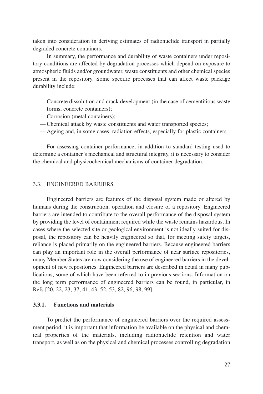taken into consideration in deriving estimates of radionuclide transport in partially degraded concrete containers.

In summary, the performance and durability of waste containers under repository conditions are affected by degradation processes which depend on exposure to atmospheric fluids and/or groundwater, waste constituents and other chemical species present in the repository. Some specific processes that can affect waste package durability include:

- Concrete dissolution and crack development (in the case of cementitious waste forms, concrete containers);
- Corrosion (metal containers);
- Chemical attack by waste constituents and water transported species;
- Ageing and, in some cases, radiation effects, especially for plastic containers.

For assessing container performance, in addition to standard testing used to determine a container's mechanical and structural integrity, it is necessary to consider the chemical and physicochemical mechanisms of container degradation.

#### 3.3. ENGINEERED BARRIERS

Engineered barriers are features of the disposal system made or altered by humans during the construction, operation and closure of a repository. Engineered barriers are intended to contribute to the overall performance of the disposal system by providing the level of containment required while the waste remains hazardous. In cases where the selected site or geological environment is not ideally suited for disposal, the repository can be heavily engineered so that, for meeting safety targets, reliance is placed primarily on the engineered barriers. Because engineered barriers can play an important role in the overall performance of near surface repositories, many Member States are now considering the use of engineered barriers in the development of new repositories. Engineered barriers are described in detail in many publications, some of which have been referred to in previous sections. Information on the long term performance of engineered barriers can be found, in particular, in Refs [20, 22, 23, 37, 41, 43, 52, 53, 82, 96, 98, 99].

#### **3.3.1. Functions and materials**

To predict the performance of engineered barriers over the required assessment period, it is important that information be available on the physical and chemical properties of the materials, including radionuclide retention and water transport, as well as on the physical and chemical processes controlling degradation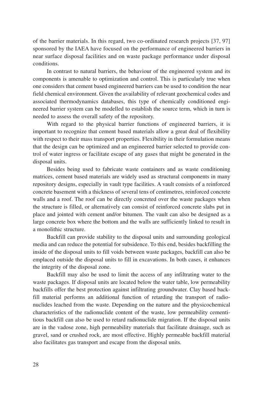of the barrier materials. In this regard, two co-ordinated research projects [37, 97] sponsored by the IAEA have focused on the performance of engineered barriers in near surface disposal facilities and on waste package performance under disposal conditions.

In contrast to natural barriers, the behaviour of the engineered system and its components is amenable to optimization and control. This is particularly true when one considers that cement based engineered barriers can be used to condition the near field chemical environment. Given the availability of relevant geochemical codes and associated thermodynamics databases, this type of chemically conditioned engineered barrier system can be modelled to establish the source term, which in turn is needed to assess the overall safety of the repository.

With regard to the physical barrier functions of engineered barriers, it is important to recognize that cement based materials allow a great deal of flexibility with respect to their mass transport properties. Flexibility in their formulation means that the design can be optimized and an engineered barrier selected to provide control of water ingress or facilitate escape of any gases that might be generated in the disposal units.

Besides being used to fabricate waste containers and as waste conditioning matrices, cement based materials are widely used as structural components in many repository designs, especially in vault type facilities. A vault consists of a reinforced concrete basement with a thickness of several tens of centimetres, reinforced concrete walls and a roof. The roof can be directly concreted over the waste packages when the structure is filled, or alternatively can consist of reinforced concrete slabs put in place and jointed with cement and/or bitumen. The vault can also be designed as a large concrete box where the bottom and the walls are sufficiently linked to result in a monolithic structure.

Backfill can provide stability to the disposal units and surrounding geological media and can reduce the potential for subsidence. To this end, besides backfilling the inside of the disposal units to fill voids between waste packages, backfill can also be emplaced outside the disposal units to fill in excavations. In both cases, it enhances the integrity of the disposal zone.

Backfill may also be used to limit the access of any infiltrating water to the waste packages. If disposal units are located below the water table, low permeability backfills offer the best protection against infiltrating groundwater. Clay based backfill material performs an additional function of retarding the transport of radionuclides leached from the waste. Depending on the nature and the physicochemical characteristics of the radionuclide content of the waste, low permeability cementitious backfill can also be used to retard radionuclide migration. If the disposal units are in the vadose zone, high permeability materials that facilitate drainage, such as gravel, sand or crushed rock, are most effective. Highly permeable backfill material also facilitates gas transport and escape from the disposal units.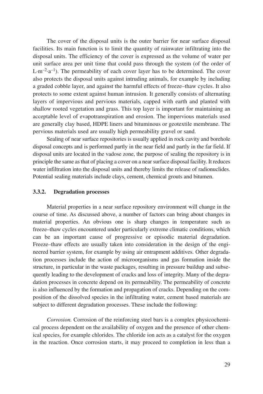The cover of the disposal units is the outer barrier for near surface disposal facilities. Its main function is to limit the quantity of rainwater infiltrating into the disposal units. The efficiency of the cover is expressed as the volume of water per unit surface area per unit time that could pass through the system (of the order of  $L \cdot m^{-2} \cdot a^{-1}$ ). The permeability of each cover layer has to be determined. The cover also protects the disposal units against intruding animals, for example by including a graded cobble layer, and against the harmful effects of freeze–thaw cycles. It also protects to some extent against human intrusion. It generally consists of alternating layers of impervious and pervious materials, capped with earth and planted with shallow rooted vegetation and grass. This top layer is important for maintaining an acceptable level of evapotranspiration and erosion. The impervious materials used are generally clay based, HDPE liners and bituminous or geotextile membrane. The pervious materials used are usually high permeability gravel or sand.

Sealing of near surface repositories is usually applied in rock cavity and borehole disposal concepts and is performed partly in the near field and partly in the far field. If disposal units are located in the vadose zone, the purpose of sealing the repository is in principle the same as that of placing a cover on a near surface disposal facility. It reduces water infiltration into the disposal units and thereby limits the release of radionuclides. Potential sealing materials include clays, cement, chemical grouts and bitumen.

# **3.3.2. Degradation processes**

Material properties in a near surface repository environment will change in the course of time. As discussed above, a number of factors can bring about changes in material properties. An obvious one is sharp changes in temperature such as freeze–thaw cycles encountered under particularly extreme climatic conditions, which can be an important cause of progressive or episodic material degradation. Freeze–thaw effects are usually taken into consideration in the design of the engineered barrier system, for example by using air entrapment additives. Other degradation processes include the action of microorganisms and gas formation inside the structure, in particular in the waste packages, resulting in pressure buildup and subsequently leading to the development of cracks and loss of integrity. Many of the degradation processes in concrete depend on its permeability. The permeability of concrete is also influenced by the formation and propagation of cracks. Depending on the composition of the dissolved species in the infiltrating water, cement based materials are subject to different degradation processes. These include the following:

*Corrosion.* Corrosion of the reinforcing steel bars is a complex physicochemical process dependent on the availability of oxygen and the presence of other chemical species, for example chlorides. The chloride ion acts as a catalyst for the oxygen in the reaction. Once corrosion starts, it may proceed to completion in less than a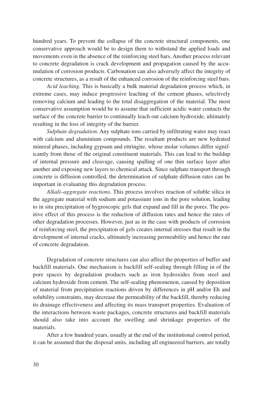hundred years. To prevent the collapse of the concrete structural components, one conservative approach would be to design them to withstand the applied loads and movements even in the absence of the reinforcing steel bars. Another process relevant to concrete degradation is crack development and propagation caused by the accumulation of corrosion products. Carbonation can also adversely affect the integrity of concrete structures, as a result of the enhanced corrosion of the reinforcing steel bars.

*Acid leaching.* This is basically a bulk material degradation process which, in extreme cases, may induce progressive leaching of the cement phases, selectively removing calcium and leading to the total disaggregation of the material. The most conservative assumption would be to assume that sufficient acidic water contacts the surface of the concrete barrier to continually leach out calcium hydroxide, ultimately resulting in the loss of integrity of the barrier.

*Sulphate degradation.* Any sulphate ions carried by infiltrating water may react with calcium and aluminium compounds. The resultant products are new hydrated mineral phases, including gypsum and ettringite, whose molar volumes differ significantly from those of the original constituent materials. This can lead to the buildup of internal pressure and cleavage, causing spalling of one thin surface layer after another and exposing new layers to chemical attack. Since sulphate transport through concrete is diffusion controlled, the determination of sulphate diffusion rates can be important in evaluating this degradation process.

*Alkali–aggregate reactions.* This process involves reaction of soluble silica in the aggregate material with sodium and potassium ions in the pore solution, leading to in situ precipitation of hygroscopic gels that expand and fill in the pores. The positive effect of this process is the reduction of diffusion rates and hence the rates of other degradation processes. However, just as in the case with products of corrosion of reinforcing steel, the precipitation of gels creates internal stresses that result in the development of internal cracks, ultimately increasing permeability and hence the rate of concrete degradation.

Degradation of concrete structures can also affect the properties of buffer and backfill materials. One mechanism is backfill self-sealing through filling in of the pore spaces by degradation products such as iron hydroxides from steel and calcium hydroxide from cement. The self-sealing phenomenon, caused by deposition of material from precipitation reactions driven by differences in pH and/or Eh and solubility constraints, may decrease the permeability of the backfill, thereby reducing its drainage effectiveness and affecting its mass transport properties. Evaluation of the interactions between waste packages, concrete structures and backfill materials should also take into account the swelling and shrinkage properties of the materials.

After a few hundred years, usually at the end of the institutional control period, it can be assumed that the disposal units, including all engineered barriers, are totally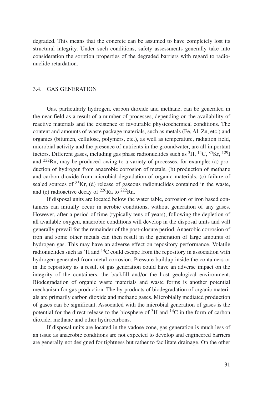degraded. This means that the concrete can be assumed to have completely lost its structural integrity. Under such conditions, safety assessments generally take into consideration the sorption properties of the degraded barriers with regard to radionuclide retardation.

### 3.4. GAS GENERATION

Gas, particularly hydrogen, carbon dioxide and methane, can be generated in the near field as a result of a number of processes, depending on the availability of reactive materials and the existence of favourable physicochemical conditions. The content and amounts of waste package materials, such as metals (Fe, Al, Zn, etc.) and organics (bitumen, cellulose, polymers, etc.), as well as temperature, radiation field, microbial activity and the presence of nutrients in the groundwater, are all important factors. Different gases, including gas phase radionuclides such as  ${}^{3}H, {}^{14}C, {}^{85}Kr, {}^{129}I$ and 222Rn, may be produced owing to a variety of processes, for example: (a) production of hydrogen from anaerobic corrosion of metals, (b) production of methane and carbon dioxide from microbial degradation of organic materials, (c) failure of sealed sources of  ${}^{85}$ Kr, (d) release of gaseous radionuclides contained in the waste, and (e) radioactive decay of 226Ra to 222Rn.

If disposal units are located below the water table, corrosion of iron based containers can initially occur in aerobic conditions, without generation of any gases. However, after a period of time (typically tens of years), following the depletion of all available oxygen, anaerobic conditions will develop in the disposal units and will generally prevail for the remainder of the post-closure period. Anaerobic corrosion of iron and some other metals can then result in the generation of large amounts of hydrogen gas. This may have an adverse effect on repository performance. Volatile radionuclides such as  ${}^{3}H$  and  ${}^{14}C$  could escape from the repository in association with hydrogen generated from metal corrosion. Pressure buildup inside the containers or in the repository as a result of gas generation could have an adverse impact on the integrity of the containers, the backfill and/or the host geological environment. Biodegradation of organic waste materials and waste forms is another potential mechanism for gas production. The by-products of biodegradation of organic materials are primarily carbon dioxide and methane gases. Microbially mediated production of gases can be significant. Associated with the microbial generation of gases is the potential for the direct release to the biosphere of  ${}^{3}H$  and  ${}^{14}C$  in the form of carbon dioxide, methane and other hydrocarbons.

If disposal units are located in the vadose zone, gas generation is much less of an issue as anaerobic conditions are not expected to develop and engineered barriers are generally not designed for tightness but rather to facilitate drainage. On the other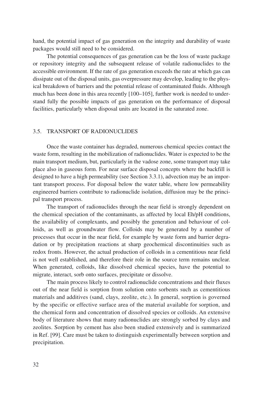hand, the potential impact of gas generation on the integrity and durability of waste packages would still need to be considered.

The potential consequences of gas generation can be the loss of waste package or repository integrity and the subsequent release of volatile radionuclides to the accessible environment. If the rate of gas generation exceeds the rate at which gas can dissipate out of the disposal units, gas overpressure may develop, leading to the physical breakdown of barriers and the potential release of contaminated fluids. Although much has been done in this area recently [100–105], further work is needed to understand fully the possible impacts of gas generation on the performance of disposal facilities, particularly when disposal units are located in the saturated zone.

### 3.5. TRANSPORT OF RADIONUCLIDES

Once the waste container has degraded, numerous chemical species contact the waste form, resulting in the mobilization of radionuclides. Water is expected to be the main transport medium, but, particularly in the vadose zone, some transport may take place also in gaseous form. For near surface disposal concepts where the backfill is designed to have a high permeability (see Section 3.3.1), advection may be an important transport process. For disposal below the water table, where low permeability engineered barriers contribute to radionuclide isolation, diffusion may be the principal transport process.

The transport of radionuclides through the near field is strongly dependent on the chemical speciation of the contaminants, as affected by local Eh/pH conditions, the availability of complexants, and possibly the generation and behaviour of colloids, as well as groundwater flow. Colloids may be generated by a number of processes that occur in the near field, for example by waste form and barrier degradation or by precipitation reactions at sharp geochemical discontinuities such as redox fronts. However, the actual production of colloids in a cementitious near field is not well established, and therefore their role in the source term remains unclear. When generated, colloids, like dissolved chemical species, have the potential to migrate, interact, sorb onto surfaces, precipitate or dissolve.

The main process likely to control radionuclide concentrations and their fluxes out of the near field is sorption from solution onto sorbents such as cementitious materials and additives (sand, clays, zeolite, etc.). In general, sorption is governed by the specific or effective surface area of the material available for sorption, and the chemical form and concentration of dissolved species or colloids. An extensive body of literature shows that many radionuclides are strongly sorbed by clays and zeolites. Sorption by cement has also been studied extensively and is summarized in Ref. [99]. Care must be taken to distinguish experimentally between sorption and precipitation.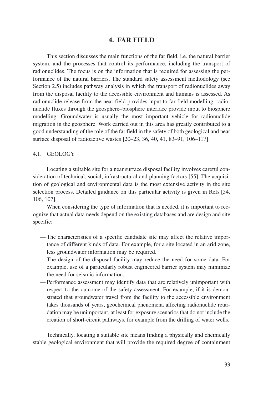# **4. FAR FIELD**

This section discusses the main functions of the far field, i.e. the natural barrier system, and the processes that control its performance, including the transport of radionuclides. The focus is on the information that is required for assessing the performance of the natural barriers. The standard safety assessment methodology (see Section 2.5) includes pathway analysis in which the transport of radionuclides away from the disposal facility to the accessible environment and humans is assessed. As radionuclide release from the near field provides input to far field modelling, radionuclide fluxes through the geosphere–biosphere interface provide input to biosphere modelling. Groundwater is usually the most important vehicle for radionuclide migration in the geosphere. Work carried out in this area has greatly contributed to a good understanding of the role of the far field in the safety of both geological and near surface disposal of radioactive wastes [20–23, 36, 40, 41, 83–91, 106–117].

#### 4.1. GEOLOGY

Locating a suitable site for a near surface disposal facility involves careful consideration of technical, social, infrastructural and planning factors [55]. The acquisition of geological and environmental data is the most extensive activity in the site selection process. Detailed guidance on this particular activity is given in Refs [54, 106, 107].

When considering the type of information that is needed, it is important to recognize that actual data needs depend on the existing databases and are design and site specific:

- The characteristics of a specific candidate site may affect the relative importance of different kinds of data. For example, for a site located in an arid zone, less groundwater information may be required.
- The design of the disposal facility may reduce the need for some data. For example, use of a particularly robust engineered barrier system may minimize the need for seismic information.
- Performance assessment may identify data that are relatively unimportant with respect to the outcome of the safety assessment. For example, if it is demonstrated that groundwater travel from the facility to the accessible environment takes thousands of years, geochemical phenomena affecting radionuclide retardation may be unimportant, at least for exposure scenarios that do not include the creation of short-circuit pathways, for example from the drilling of water wells.

Technically, locating a suitable site means finding a physically and chemically stable geological environment that will provide the required degree of containment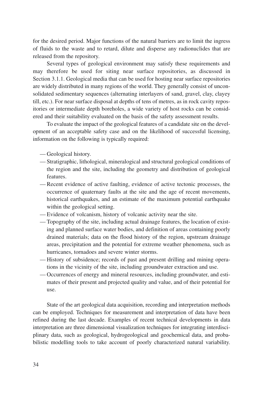for the desired period. Major functions of the natural barriers are to limit the ingress of fluids to the waste and to retard, dilute and disperse any radionuclides that are released from the repository.

Several types of geological environment may satisfy these requirements and may therefore be used for siting near surface repositories, as discussed in Section 3.1.1. Geological media that can be used for hosting near surface repositories are widely distributed in many regions of the world. They generally consist of unconsolidated sedimentary sequences (alternating interlayers of sand, gravel, clay, clayey till, etc.). For near surface disposal at depths of tens of metres, as in rock cavity repositories or intermediate depth boreholes, a wide variety of host rocks can be considered and their suitability evaluated on the basis of the safety assessment results.

To evaluate the impact of the geological features of a candidate site on the development of an acceptable safety case and on the likelihood of successful licensing, information on the following is typically required:

- Geological history.
- Stratigraphic, lithological, mineralogical and structural geological conditions of the region and the site, including the geometry and distribution of geological features.
- Recent evidence of active faulting, evidence of active tectonic processes, the occurrence of quaternary faults at the site and the age of recent movements, historical earthquakes, and an estimate of the maximum potential earthquake within the geological setting.
- Evidence of volcanism, history of volcanic activity near the site.
- Topography of the site, including actual drainage features, the location of existing and planned surface water bodies, and definition of areas containing poorly drained materials; data on the flood history of the region, upstream drainage areas, precipitation and the potential for extreme weather phenomena, such as hurricanes, tornadoes and severe winter storms.
- History of subsidence; records of past and present drilling and mining operations in the vicinity of the site, including groundwater extraction and use.
- Occurrences of energy and mineral resources, including groundwater, and estimates of their present and projected quality and value, and of their potential for use.

State of the art geological data acquisition, recording and interpretation methods can be employed. Techniques for measurement and interpretation of data have been refined during the last decade. Examples of recent technical developments in data interpretation are three dimensional visualization techniques for integrating interdisciplinary data, such as geological, hydrogeological and geochemical data, and probabilistic modelling tools to take account of poorly characterized natural variability.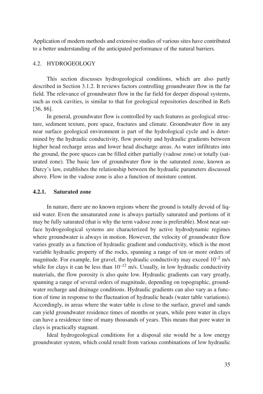Application of modern methods and extensive studies of various sites have contributed to a better understanding of the anticipated performance of the natural barriers.

### 4.2. HYDROGEOLOGY

This section discusses hydrogeological conditions, which are also partly described in Section 3.1.2. It reviews factors controlling groundwater flow in the far field. The relevance of groundwater flow in the far field for deeper disposal systems, such as rock cavities, is similar to that for geological repositories described in Refs [36, 86].

In general, groundwater flow is controlled by such features as geological structure, sediment texture, pore space, fractures and climate. Groundwater flow in any near surface geological environment is part of the hydrological cycle and is determined by the hydraulic conductivity, flow porosity and hydraulic gradients between higher head recharge areas and lower head discharge areas. As water infiltrates into the ground, the pore spaces can be filled either partially (vadose zone) or totally (saturated zone). The basic law of groundwater flow in the saturated zone, known as Darcy's law, establishes the relationship between the hydraulic parameters discussed above. Flow in the vadose zone is also a function of moisture content.

#### **4.2.1. Saturated zone**

In nature, there are no known regions where the ground is totally devoid of liquid water. Even the unsaturated zone is always partially saturated and portions of it may be fully saturated (that is why the term vadose zone is preferable). Most near surface hydrogeological systems are characterized by active hydrodynamic regimes where groundwater is always in motion. However, the velocity of groundwater flow varies greatly as a function of hydraulic gradient and conductivity, which is the most variable hydraulic property of the rocks, spanning a range of ten or more orders of magnitude. For example, for gravel, the hydraulic conductivity may exceed  $10^{-2}$  m/s while for clays it can be less than  $10^{-12}$  m/s. Usually, in low hydraulic conductivity materials, the flow porosity is also quite low. Hydraulic gradients can vary greatly, spanning a range of several orders of magnitude, depending on topographic, groundwater recharge and drainage conditions. Hydraulic gradients can also vary as a function of time in response to the fluctuation of hydraulic heads (water table variations). Accordingly, in areas where the water table is close to the surface, gravel and sands can yield groundwater residence times of months or years, while pore water in clays can have a residence time of many thousands of years. This means that pore water in clays is practically stagnant.

Ideal hydrogeological conditions for a disposal site would be a low energy groundwater system, which could result from various combinations of low hydraulic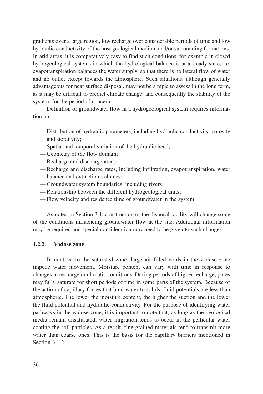gradients over a large region, low recharge over considerable periods of time and low hydraulic conductivity of the host geological medium and/or surrounding formations. In arid areas, it is comparatively easy to find such conditions, for example in closed hydrogeological systems in which the hydrological balance is at a steady state, i.e. evapotranspiration balances the water supply, so that there is no lateral flow of water and no outlet except towards the atmosphere. Such situations, although generally advantageous for near surface disposal, may not be simple to assess in the long term, as it may be difficult to predict climate change, and consequently the stability of the system, for the period of concern.

Definition of groundwater flow in a hydrogeological system requires information on:

- Distribution of hydraulic parameters, including hydraulic conductivity, porosity and storativity;
- Spatial and temporal variation of the hydraulic head;
- Geometry of the flow domain;
- Recharge and discharge areas;
- Recharge and discharge rates, including infiltration, evapotranspiration, water balance and extraction volumes;
- Groundwater system boundaries, including rivers;
- Relationship between the different hydrogeological units;
- Flow velocity and residence time of groundwater in the system.

As noted in Section 3.1, construction of the disposal facility will change some of the conditions influencing groundwater flow at the site. Additional information may be required and special consideration may need to be given to such changes.

# **4.2.2. Vadose zone**

In contrast to the saturated zone, large air filled voids in the vadose zone impede water movement. Moisture content can vary with time in response to changes in recharge or climatic conditions. During periods of higher recharge, pores may fully saturate for short periods of time in some parts of the system. Because of the action of capillary forces that bind water to solids, fluid potentials are less than atmospheric. The lower the moisture content, the higher the suction and the lower the fluid potential and hydraulic conductivity. For the purpose of identifying water pathways in the vadose zone, it is important to note that, as long as the geological media remain unsaturated, water migration tends to occur in the pellicular water coating the soil particles. As a result, fine grained materials tend to transmit more water than coarse ones. This is the basis for the capillary barriers mentioned in Section 3.1.2.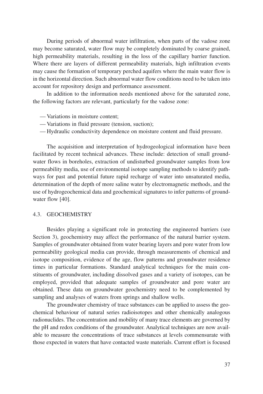During periods of abnormal water infiltration, when parts of the vadose zone may become saturated, water flow may be completely dominated by coarse grained, high permeability materials, resulting in the loss of the capillary barrier function. Where there are layers of different permeability materials, high infiltration events may cause the formation of temporary perched aquifers where the main water flow is in the horizontal direction. Such abnormal water flow conditions need to be taken into account for repository design and performance assessment.

In addition to the information needs mentioned above for the saturated zone, the following factors are relevant, particularly for the vadose zone:

- Variations in moisture content;
- Variations in fluid pressure (tension, suction);
- Hydraulic conductivity dependence on moisture content and fluid pressure.

The acquisition and interpretation of hydrogeological information have been facilitated by recent technical advances. These include: detection of small groundwater flows in boreholes, extraction of undisturbed groundwater samples from low permeability media, use of environmental isotope sampling methods to identify pathways for past and potential future rapid recharge of water into unsaturated media, determination of the depth of more saline water by electromagnetic methods, and the use of hydrogeochemical data and geochemical signatures to infer patterns of groundwater flow [40].

### 4.3. GEOCHEMISTRY

Besides playing a significant role in protecting the engineered barriers (see Section 3), geochemistry may affect the performance of the natural barrier system. Samples of groundwater obtained from water bearing layers and pore water from low permeability geological media can provide, through measurements of chemical and isotope composition, evidence of the age, flow patterns and groundwater residence times in particular formations. Standard analytical techniques for the main constituents of groundwater, including dissolved gases and a variety of isotopes, can be employed, provided that adequate samples of groundwater and pore water are obtained. These data on groundwater geochemistry need to be complemented by sampling and analyses of waters from springs and shallow wells.

The groundwater chemistry of trace substances can be applied to assess the geochemical behaviour of natural series radioisotopes and other chemically analogous radionuclides. The concentration and mobility of many trace elements are governed by the pH and redox conditions of the groundwater. Analytical techniques are now available to measure the concentrations of trace substances at levels commensurate with those expected in waters that have contacted waste materials. Current effort is focused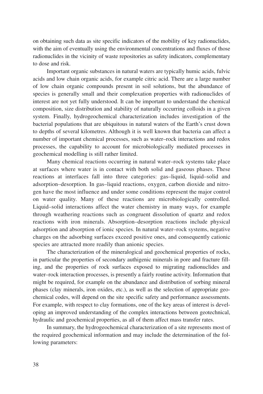on obtaining such data as site specific indicators of the mobility of key radionuclides, with the aim of eventually using the environmental concentrations and fluxes of those radionuclides in the vicinity of waste repositories as safety indicators, complementary to dose and risk.

Important organic substances in natural waters are typically humic acids, fulvic acids and low chain organic acids, for example citric acid. There are a large number of low chain organic compounds present in soil solutions, but the abundance of species is generally small and their complexation properties with radionuclides of interest are not yet fully understood. It can be important to understand the chemical composition, size distribution and stability of naturally occurring colloids in a given system. Finally, hydrogeochemical characterization includes investigation of the bacterial populations that are ubiquitous in natural waters of the Earth's crust down to depths of several kilometres. Although it is well known that bacteria can affect a number of important chemical processes, such as water–rock interactions and redox processes, the capability to account for microbiologically mediated processes in geochemical modelling is still rather limited.

Many chemical reactions occurring in natural water–rock systems take place at surfaces where water is in contact with both solid and gaseous phases. These reactions at interfaces fall into three categories: gas–liquid, liquid–solid and adsorption–desorption. In gas–liquid reactions, oxygen, carbon dioxide and nitrogen have the most influence and under some conditions represent the major control on water quality. Many of these reactions are microbiologically controlled. Liquid–solid interactions affect the water chemistry in many ways, for example through weathering reactions such as congruent dissolution of quartz and redox reactions with iron minerals. Absorption–desorption reactions include physical adsorption and absorption of ionic species. In natural water–rock systems, negative charges on the adsorbing surfaces exceed positive ones, and consequently cationic species are attracted more readily than anionic species.

The characterization of the mineralogical and geochemical properties of rocks, in particular the properties of secondary authigenic minerals in pore and fracture filling, and the properties of rock surfaces exposed to migrating radionuclides and water–rock interaction processes, is presently a fairly routine activity. Information that might be required, for example on the abundance and distribution of sorbing mineral phases (clay minerals, iron oxides, etc.), as well as the selection of appropriate geochemical codes, will depend on the site specific safety and performance assessments. For example, with respect to clay formations, one of the key areas of interest is developing an improved understanding of the complex interactions between geotechnical, hydraulic and geochemical properties, as all of them affect mass transfer rates.

In summary, the hydrogeochemical characterization of a site represents most of the required geochemical information and may include the determination of the following parameters: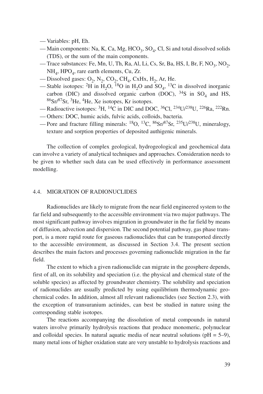- Variables: pH, Eh.
- Main components: Na, K, Ca, Mg, HCO<sub>3</sub>, SO<sub>4</sub>, Cl, Si and total dissolved solids (TDS), or the sum of the main components.
- Trace substances: Fe, Mn, U, Th, Ra, Al, Li, Cs, Sr, Ba, HS, I, Br, F, NO<sub>3</sub>, NO<sub>2</sub>,  $NH<sub>4</sub>$ , HPO<sub>4</sub>, rare earth elements, Cu, Zr.
- Dissolved gases:  $O_2$ ,  $N_2$ ,  $CO_2$ ,  $CH_4$ , CxHx,  $H_2$ , Ar, He.
- Stable isotopes: <sup>2</sup>H in H<sub>2</sub>O, <sup>18</sup>O in H<sub>2</sub>O and SO<sub>4</sub>, <sup>13</sup>C in dissolved inorganic carbon (DIC) and dissolved organic carbon (DOC),  $34S$  in SO<sub>4</sub> and HS, 86Sr/87Sr, 3He, 4He, Xe isotopes, Kr isotopes.
- Radioactive isotopes: 3H, 14C in DIC and DOC, 36Cl, 234U/238U, 226Ra, 222Rn.
- Others: DOC, humic acids, fulvic acids, colloids, bacteria.
- Pore and fracture filling minerals: <sup>18</sup>O, <sup>13</sup>C, <sup>86</sup>Sr/<sup>87</sup>Sr, <sup>235</sup>U/<sup>238</sup>U, mineralogy, texture and sorption properties of deposited authigenic minerals.

The collection of complex geological, hydrogeological and geochemical data can involve a variety of analytical techniques and approaches. Consideration needs to be given to whether such data can be used effectively in performance assessment modelling.

# 4.4. MIGRATION OF RADIONUCLIDES

Radionuclides are likely to migrate from the near field engineered system to the far field and subsequently to the accessible environment via two major pathways. The most significant pathway involves migration in groundwater in the far field by means of diffusion, advection and dispersion. The second potential pathway, gas phase transport, is a more rapid route for gaseous radionuclides that can be transported directly to the accessible environment, as discussed in Section 3.4. The present section describes the main factors and processes governing radionuclide migration in the far field.

The extent to which a given radionuclide can migrate in the geosphere depends, first of all, on its solubility and speciation (i.e. the physical and chemical state of the soluble species) as affected by groundwater chemistry. The solubility and speciation of radionuclides are usually predicted by using equilibrium thermodynamic geochemical codes. In addition, almost all relevant radionuclides (see Section 2.3), with the exception of transuranium actinides, can best be studied in nature using the corresponding stable isotopes.

The reactions accompanying the dissolution of metal compounds in natural waters involve primarily hydrolysis reactions that produce monomeric, polynuclear and colloidal species. In natural aquatic media of near neutral solutions ( $pH = 5-9$ ), many metal ions of higher oxidation state are very unstable to hydrolysis reactions and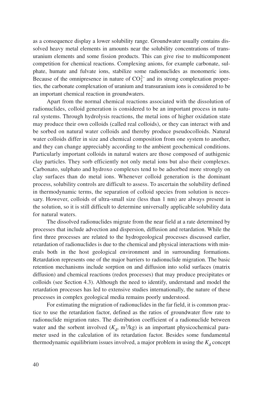as a consequence display a lower solubility range. Groundwater usually contains dissolved heavy metal elements in amounts near the solubility concentrations of transuranium elements and some fission products. This can give rise to multicomponent competition for chemical reactions. Complexing anions, for example carbonate, sulphate, humate and fulvate ions, stabilize some radionuclides as monomeric ions. Because of the omnipresence in nature of  $CO_3^{2-}$  and its strong complexation properties, the carbonate complexation of uranium and transuranium ions is considered to be an important chemical reaction in groundwaters.

Apart from the normal chemical reactions associated with the dissolution of radionuclides, colloid generation is considered to be an important process in natural systems. Through hydrolysis reactions, the metal ions of higher oxidation state may produce their own colloids (called real colloids), or they can interact with and be sorbed on natural water colloids and thereby produce pseudocolloids. Natural water colloids differ in size and chemical composition from one system to another, and they can change appreciably according to the ambient geochemical conditions. Particularly important colloids in natural waters are those composed of authigenic clay particles. They sorb efficiently not only metal ions but also their complexes. Carbonato, sulphato and hydroxo complexes tend to be adsorbed more strongly on clay surfaces than do metal ions. Whenever colloid generation is the dominant process, solubility controls are difficult to assess. To ascertain the solubility defined in thermodynamic terms, the separation of colloid species from solution is necessary. However, colloids of ultra-small size (less than 1 nm) are always present in the solution, so it is still difficult to determine universally applicable solubility data for natural waters.

The dissolved radionuclides migrate from the near field at a rate determined by processes that include advection and dispersion, diffusion and retardation. While the first three processes are related to the hydrogeological processes discussed earlier, retardation of radionuclides is due to the chemical and physical interactions with minerals both in the host geological environment and in surrounding formations. Retardation represents one of the major barriers to radionuclide migration. The basic retention mechanisms include sorption on and diffusion into solid surfaces (matrix diffusion) and chemical reactions (redox processes) that may produce precipitates or colloids (see Section 4.3). Although the need to identify, understand and model the retardation processes has led to extensive studies internationally, the nature of these processes in complex geological media remains poorly understood.

For estimating the migration of radionuclides in the far field, it is common practice to use the retardation factor, defined as the ratios of groundwater flow rate to radionuclide migration rates. The distribution coefficient of a radionuclide between water and the sorbent involved  $(K_d, m^3/kg)$  is an important physicochemical parameter used in the calculation of its retardation factor. Besides some fundamental thermodynamic equilibrium issues involved, a major problem in using the  $K_d$  concept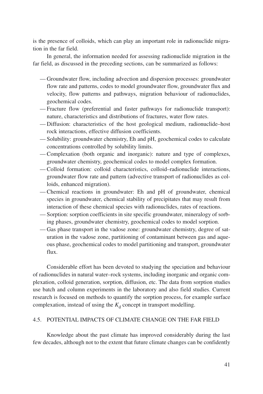is the presence of colloids, which can play an important role in radionuclide migration in the far field.

In general, the information needed for assessing radionuclide migration in the far field, as discussed in the preceding sections, can be summarized as follows:

- Groundwater flow, including advection and dispersion processes: groundwater flow rate and patterns, codes to model groundwater flow, groundwater flux and velocity, flow patterns and pathways, migration behaviour of radionuclides, geochemical codes.
- Fracture flow (preferential and faster pathways for radionuclide transport): nature, characteristics and distributions of fractures, water flow rates.
- Diffusion: characteristics of the host geological medium, radionuclide–host rock interactions, effective diffusion coefficients.
- Solubility: groundwater chemistry, Eh and pH, geochemical codes to calculate concentrations controlled by solubility limits.
- Complexation (both organic and inorganic): nature and type of complexes, groundwater chemistry, geochemical codes to model complex formation.
- Colloid formation: colloid characteristics, colloid–radionuclide interactions, groundwater flow rate and pattern (advective transport of radionuclides as colloids, enhanced migration).
- Chemical reactions in groundwater: Eh and pH of groundwater, chemical species in groundwater, chemical stability of precipitates that may result from interaction of these chemical species with radionuclides, rates of reactions.
- Sorption: sorption coefficients in site specific groundwater, mineralogy of sorbing phases, groundwater chemistry, geochemical codes to model sorption.
- Gas phase transport in the vadose zone: groundwater chemistry, degree of saturation in the vadose zone, partitioning of contaminant between gas and aqueous phase, geochemical codes to model partitioning and transport, groundwater flux.

Considerable effort has been devoted to studying the speciation and behaviour of radionuclides in natural water–rock systems, including inorganic and organic complexation, colloid generation, sorption, diffusion, etc. The data from sorption studies use batch and column experiments in the laboratory and also field studies. Current research is focused on methods to quantify the sorption process, for example surface complexation, instead of using the  $K_d$  concept in transport modelling.

# 4.5. POTENTIAL IMPACTS OF CLIMATE CHANGE ON THE FAR FIELD

Knowledge about the past climate has improved considerably during the last few decades, although not to the extent that future climate changes can be confidently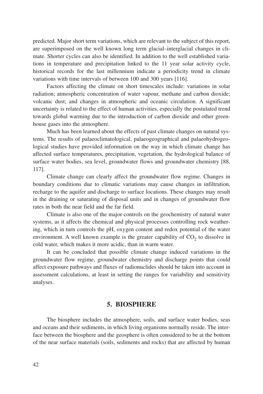predicted. Major short term variations, which are relevant to the subject of this report, are superimposed on the well known long term glacial–interglacial changes in climate. Shorter cycles can also be identified. In addition to the well established variations in temperature and precipitation linked to the 11 year solar activity cycle, historical records for the last millennium indicate a periodicity trend in climate variations with time intervals of between 100 and 300 years [116].

Factors affecting the climate on short timescales include: variations in solar radiation; atmospheric concentration of water vapour, methane and carbon dioxide; volcanic dust; and changes in atmospheric and oceanic circulation. A significant uncertainty is related to the effect of human activities, especially the postulated trend towards global warming due to the introduction of carbon dioxide and other greenhouse gases into the atmosphere.

Much has been learned about the effects of past climate changes on natural systems. The results of palaeoclimatological, palaeogeographical and palaeohydrogeological studies have provided information on the way in which climate change has affected surface temperatures, precipitation, vegetation, the hydrological balance of surface water bodies, sea level, groundwater flows and groundwater chemistry [88, 117].

Climate change can clearly affect the groundwater flow regime. Changes in boundary conditions due to climatic variations may cause changes in infiltration, recharge to the aquifer and discharge to surface locations. These changes may result in the draining or saturating of disposal units and in changes of groundwater flow rates in both the near field and the far field.

Climate is also one of the major controls on the geochemistry of natural water systems, as it affects the chemical and physical processes controlling rock weathering, which in turn controls the pH, oxygen content and redox potential of the water environment. A well known example is the greater capability of  $CO<sub>2</sub>$  to dissolve in cold water, which makes it more acidic, than in warm water.

It can be concluded that possible climate change induced variations in the groundwater flow regime, groundwater chemistry and discharge points that could affect exposure pathways and fluxes of radionuclides should be taken into account in assessment calculations, at least in setting the ranges for variability and sensitivity analyses.

# **5. BIOSPHERE**

The biosphere includes the atmosphere, soils, and surface water bodies, seas and oceans and their sediments, in which living organisms normally reside. The interface between the biosphere and the geosphere is often considered to be at the bottom of the near surface materials (soils, sediments and rocks) that are affected by human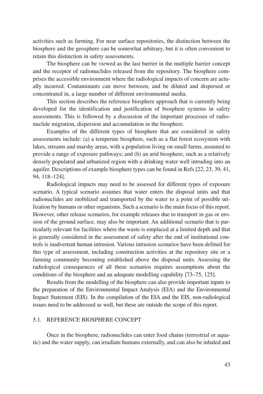activities such as farming. For near surface repositories, the distinction between the biosphere and the geosphere can be somewhat arbitrary, but it is often convenient to retain this distinction in safety assessments.

The biosphere can be viewed as the last barrier in the multiple barrier concept and the receptor of radionuclides released from the repository. The biosphere comprises the accessible environment where the radiological impacts of concern are actually incurred. Contaminants can move between, and be diluted and dispersed or concentrated in, a large number of different environmental media.

This section describes the reference biosphere approach that is currently being developed for the identification and justification of biosphere systems in safety assessments. This is followed by a discussion of the important processes of radionuclide migration, dispersion and accumulation in the biosphere.

Examples of the different types of biosphere that are considered in safety assessments include: (a) a temperate biosphere, such as a flat forest ecosystem with lakes, streams and marshy areas, with a population living on small farms, assumed to provide a range of exposure pathways; and (b) an arid biosphere, such as a relatively densely populated and urbanized region with a drinking water well intruding into an aquifer. Descriptions of example biosphere types can be found in Refs [22, 23, 39, 41, 94, 118–124].

Radiological impacts may need to be assessed for different types of exposure scenario. A typical scenario assumes that water enters the disposal units and that radionuclides are mobilized and transported by the water to a point of possible utilization by humans or other organisms. Such a scenario is the main focus of this report. However, other release scenarios, for example releases due to transport in gas or erosion of the ground surface, may also be important. An additional scenario that is particularly relevant for facilities where the waste is emplaced at a limited depth and that is generally considered in the assessment of safety after the end of institutional controls is inadvertent human intrusion. Various intrusion scenarios have been defined for this type of assessment, including construction activities at the repository site or a farming community becoming established above the disposal units. Assessing the radiological consequences of all these scenarios requires assumptions about the conditions of the biosphere and an adequate modelling capability [73–75, 125].

Results from the modelling of the biosphere can also provide important inputs to the preparation of the Environmental Impact Analysis (EIA) and the Environmental Impact Statement (EIS). In the compilation of the EIA and the EIS, non-radiological issues need to be addressed as well, but these are outside the scope of this report.

# 5.1. REFERENCE BIOSPHERE CONCEPT

Once in the biosphere, radionuclides can enter food chains (terrestrial or aquatic) and the water supply, can irradiate humans externally, and can also be inhaled and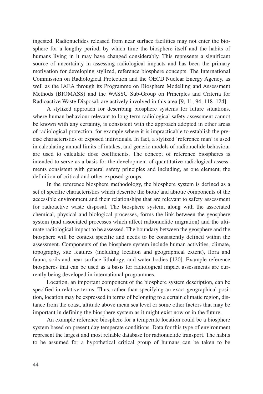ingested. Radionuclides released from near surface facilities may not enter the biosphere for a lengthy period, by which time the biosphere itself and the habits of humans living in it may have changed considerably. This represents a significant source of uncertainty in assessing radiological impacts and has been the primary motivation for developing stylized, reference biosphere concepts. The International Commission on Radiological Protection and the OECD Nuclear Energy Agency, as well as the IAEA through its Programme on Biosphere Modelling and Assessment Methods (BIOMASS) and the WASSC Sub-Group on Principles and Criteria for Radioactive Waste Disposal, are actively involved in this area [9, 11, 94, 118–124].

A stylized approach for describing biosphere systems for future situations, where human behaviour relevant to long term radiological safety assessment cannot be known with any certainty, is consistent with the approach adopted in other areas of radiological protection, for example where it is impracticable to establish the precise characteristics of exposed individuals. In fact, a stylized 'reference man' is used in calculating annual limits of intakes, and generic models of radionuclide behaviour are used to calculate dose coefficients. The concept of reference biospheres is intended to serve as a basis for the development of quantitative radiological assessments consistent with general safety principles and including, as one element, the definition of critical and other exposed groups.

In the reference biosphere methodology, the biosphere system is defined as a set of specific characteristics which describe the biotic and abiotic components of the accessible environment and their relationships that are relevant to safety assessment for radioactive waste disposal. The biosphere system, along with the associated chemical, physical and biological processes, forms the link between the geosphere system (and associated processes which affect radionuclide migration) and the ultimate radiological impact to be assessed. The boundary between the geosphere and the biosphere will be context specific and needs to be consistently defined within the assessment. Components of the biosphere system include human activities, climate, topography, site features (including location and geographical extent), flora and fauna, soils and near surface lithology, and water bodies [120]. Example reference biospheres that can be used as a basis for radiological impact assessments are currently being developed in international programmes.

Location, an important component of the biosphere system description, can be specified in relative terms. Thus, rather than specifying an exact geographical position, location may be expressed in terms of belonging to a certain climatic region, distance from the coast, altitude above mean sea level or some other factors that may be important in defining the biosphere system as it might exist now or in the future.

An example reference biosphere for a temperate location could be a biosphere system based on present day temperate conditions. Data for this type of environment represent the largest and most reliable database for radionuclide transport. The habits to be assumed for a hypothetical critical group of humans can be taken to be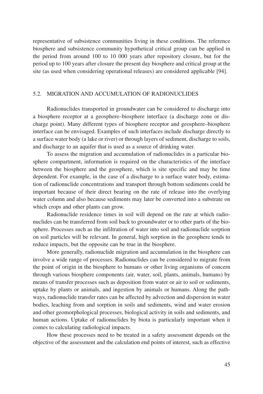representative of subsistence communities living in these conditions. The reference biosphere and subsistence community hypothetical critical group can be applied in the period from around 100 to 10 000 years after repository closure, but for the period up to 100 years after closure the present day biosphere and critical group at the site (as used when considering operational releases) are considered applicable [94].

# 5.2. MIGRATION AND ACCUMULATION OF RADIONUCLIDES

Radionuclides transported in groundwater can be considered to discharge into a biosphere receptor at a geosphere–biosphere interface (a discharge zone or discharge point). Many different types of biosphere receptor and geosphere–biosphere interface can be envisaged. Examples of such interfaces include discharge directly to a surface water body (a lake or river) or through layers of sediment, discharge to soils, and discharge to an aquifer that is used as a source of drinking water.

To assess the migration and accumulation of radionuclides in a particular biosphere compartment, information is required on the characteristics of the interface between the biosphere and the geosphere, which is site specific and may be time dependent. For example, in the case of a discharge to a surface water body, estimation of radionuclide concentrations and transport through bottom sediments could be important because of their direct bearing on the rate of release into the overlying water column and also because sediments may later be converted into a substrate on which crops and other plants can grow.

Radionuclide residence times in soil will depend on the rate at which radionuclides can be transferred from soil back to groundwater or to other parts of the biosphere. Processes such as the infiltration of water into soil and radionuclide sorption on soil particles will be relevant. In general, high sorption in the geosphere tends to reduce impacts, but the opposite can be true in the biosphere.

More generally, radionuclide migration and accumulation in the biosphere can involve a wide range of processes. Radionuclides can be considered to migrate from the point of origin in the biosphere to humans or other living organisms of concern through various biosphere components (air, water, soil, plants, animals, humans) by means of transfer processes such as deposition from water or air to soil or sediments, uptake by plants or animals, and ingestion by animals or humans. Along the pathways, radionuclide transfer rates can be affected by advection and dispersion in water bodies, leaching from and sorption in soils and sediments, wind and water erosion and other geomorphological processes, biological activity in soils and sediments, and human actions. Uptake of radionuclides by biota is particularly important when it comes to calculating radiological impacts.

How these processes need to be treated in a safety assessment depends on the objective of the assessment and the calculation end points of interest, such as effective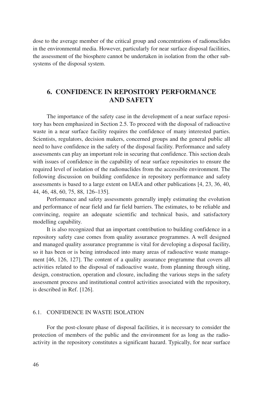dose to the average member of the critical group and concentrations of radionuclides in the environmental media. However, particularly for near surface disposal facilities, the assessment of the biosphere cannot be undertaken in isolation from the other subsystems of the disposal system.

# **6. CONFIDENCE IN REPOSITORY PERFORMANCE AND SAFETY**

The importance of the safety case in the development of a near surface repository has been emphasized in Section 2.5. To proceed with the disposal of radioactive waste in a near surface facility requires the confidence of many interested parties. Scientists, regulators, decision makers, concerned groups and the general public all need to have confidence in the safety of the disposal facility. Performance and safety assessments can play an important role in securing that confidence. This section deals with issues of confidence in the capability of near surface repositories to ensure the required level of isolation of the radionuclides from the accessible environment. The following discussion on building confidence in repository performance and safety assessments is based to a large extent on IAEA and other publications [4, 23, 36, 40, 44, 46, 48, 60, 75, 88, 126–135].

Performance and safety assessments generally imply estimating the evolution and performance of near field and far field barriers. The estimates, to be reliable and convincing, require an adequate scientific and technical basis, and satisfactory modelling capability.

It is also recognized that an important contribution to building confidence in a repository safety case comes from quality assurance programmes. A well designed and managed quality assurance programme is vital for developing a disposal facility, so it has been or is being introduced into many areas of radioactive waste management [46, 126, 127]. The content of a quality assurance programme that covers all activities related to the disposal of radioactive waste, from planning through siting, design, construction, operation and closure, including the various steps in the safety assessment process and institutional control activities associated with the repository, is described in Ref. [126].

# 6.1. CONFIDENCE IN WASTE ISOLATION

For the post-closure phase of disposal facilities, it is necessary to consider the protection of members of the public and the environment for as long as the radioactivity in the repository constitutes a significant hazard. Typically, for near surface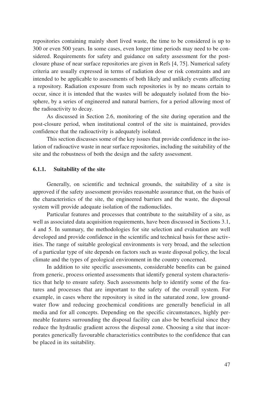repositories containing mainly short lived waste, the time to be considered is up to 300 or even 500 years. In some cases, even longer time periods may need to be considered. Requirements for safety and guidance on safety assessment for the postclosure phase of near surface repositories are given in Refs [4, 75]. Numerical safety criteria are usually expressed in terms of radiation dose or risk constraints and are intended to be applicable to assessments of both likely and unlikely events affecting a repository. Radiation exposure from such repositories is by no means certain to occur, since it is intended that the wastes will be adequately isolated from the biosphere, by a series of engineered and natural barriers, for a period allowing most of the radioactivity to decay.

As discussed in Section 2.6, monitoring of the site during operation and the post-closure period, when institutional control of the site is maintained, provides confidence that the radioactivity is adequately isolated.

This section discusses some of the key issues that provide confidence in the isolation of radioactive waste in near surface repositories, including the suitability of the site and the robustness of both the design and the safety assessment.

## **6.1.1. Suitability of the site**

Generally, on scientific and technical grounds, the suitability of a site is approved if the safety assessment provides reasonable assurance that, on the basis of the characteristics of the site, the engineered barriers and the waste, the disposal system will provide adequate isolation of the radionuclides.

Particular features and processes that contribute to the suitability of a site, as well as associated data acquisition requirements, have been discussed in Sections 3.1, 4 and 5. In summary, the methodologies for site selection and evaluation are well developed and provide confidence in the scientific and technical basis for these activities. The range of suitable geological environments is very broad, and the selection of a particular type of site depends on factors such as waste disposal policy, the local climate and the types of geological environment in the country concerned.

In addition to site specific assessments, considerable benefits can be gained from generic, process oriented assessments that identify general system characteristics that help to ensure safety. Such assessments help to identify some of the features and processes that are important to the safety of the overall system. For example, in cases where the repository is sited in the saturated zone, low groundwater flow and reducing geochemical conditions are generally beneficial in all media and for all concepts. Depending on the specific circumstances, highly permeable features surrounding the disposal facility can also be beneficial since they reduce the hydraulic gradient across the disposal zone. Choosing a site that incorporates generically favourable characteristics contributes to the confidence that can be placed in its suitability.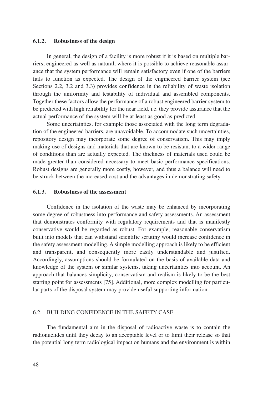## **6.1.2. Robustness of the design**

In general, the design of a facility is more robust if it is based on multiple barriers, engineered as well as natural, where it is possible to achieve reasonable assurance that the system performance will remain satisfactory even if one of the barriers fails to function as expected. The design of the engineered barrier system (see Sections 2.2, 3.2 and 3.3) provides confidence in the reliability of waste isolation through the uniformity and testability of individual and assembled components. Together these factors allow the performance of a robust engineered barrier system to be predicted with high reliability for the near field, i.e. they provide assurance that the actual performance of the system will be at least as good as predicted.

Some uncertainties, for example those associated with the long term degradation of the engineered barriers, are unavoidable. To accommodate such uncertainties, repository design may incorporate some degree of conservatism. This may imply making use of designs and materials that are known to be resistant to a wider range of conditions than are actually expected. The thickness of materials used could be made greater than considered necessary to meet basic performance specifications. Robust designs are generally more costly, however, and thus a balance will need to be struck between the increased cost and the advantages in demonstrating safety.

### **6.1.3. Robustness of the assessment**

Confidence in the isolation of the waste may be enhanced by incorporating some degree of robustness into performance and safety assessments. An assessment that demonstrates conformity with regulatory requirements and that is manifestly conservative would be regarded as robust. For example, reasonable conservatism built into models that can withstand scientific scrutiny would increase confidence in the safety assessment modelling. A simple modelling approach is likely to be efficient and transparent, and consequently more easily understandable and justified. Accordingly, assumptions should be formulated on the basis of available data and knowledge of the system or similar systems, taking uncertainties into account. An approach that balances simplicity, conservatism and realism is likely to be the best starting point for assessments [75]. Additional, more complex modelling for particular parts of the disposal system may provide useful supporting information.

# 6.2. BUILDING CONFIDENCE IN THE SAFETY CASE

The fundamental aim in the disposal of radioactive waste is to contain the radionuclides until they decay to an acceptable level or to limit their release so that the potential long term radiological impact on humans and the environment is within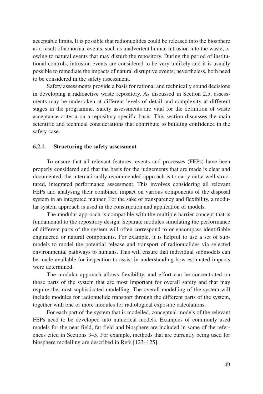acceptable limits. It is possible that radionuclides could be released into the biosphere as a result of abnormal events, such as inadvertent human intrusion into the waste, or owing to natural events that may disturb the repository. During the period of institutional controls, intrusion events are considered to be very unlikely and it is usually possible to remediate the impacts of natural disruptive events; nevertheless, both need to be considered in the safety assessment.

Safety assessments provide a basis for rational and technically sound decisions in developing a radioactive waste repository. As discussed in Section 2.5, assessments may be undertaken at different levels of detail and complexity at different stages in the programme. Safety assessments are vital for the definition of waste acceptance criteria on a repository specific basis. This section discusses the main scientific and technical considerations that contribute to building confidence in the safety case.

# **6.2.1. Structuring the safety assessment**

To ensure that all relevant features, events and processes (FEPs) have been properly considered and that the basis for the judgements that are made is clear and documented, the internationally recommended approach is to carry out a well structured, integrated performance assessment. This involves considering all relevant FEPs and analysing their combined impact on various components of the disposal system in an integrated manner. For the sake of transparency and flexibility, a modular system approach is used in the construction and application of models.

The modular approach is compatible with the multiple barrier concept that is fundamental to the repository design. Separate modules simulating the performance of different parts of the system will often correspond to or encompass identifiable engineered or natural components. For example, it is helpful to use a set of submodels to model the potential release and transport of radionuclides via selected environmental pathways to humans. This will ensure that individual submodels can be made available for inspection to assist in understanding how estimated impacts were determined.

The modular approach allows flexibility, and effort can be concentrated on those parts of the system that are most important for overall safety and that may require the most sophisticated modelling. The overall modelling of the system will include modules for radionuclide transport through the different parts of the system, together with one or more modules for radiological exposure calculations.

For each part of the system that is modelled, conceptual models of the relevant FEPs need to be developed into numerical models. Examples of commonly used models for the near field, far field and biosphere are included in some of the references cited in Sections 3–5. For example, methods that are currently being used for biosphere modelling are described in Refs [123–125].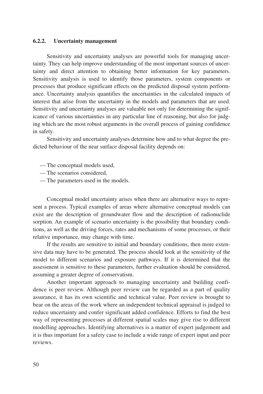# **6.2.2. Uncertainty management**

Sensitivity and uncertainty analyses are powerful tools for managing uncertainty. They can help improve understanding of the most important sources of uncertainty and direct attention to obtaining better information for key parameters. Sensitivity analysis is used to identify those parameters, system components or processes that produce significant effects on the predicted disposal system performance. Uncertainty analysis quantifies the uncertainties in the calculated impacts of interest that arise from the uncertainty in the models and parameters that are used. Sensitivity and uncertainty analyses are valuable not only for determining the significance of various uncertainties in any particular line of reasoning, but also for judging which are the most robust arguments in the overall process of gaining confidence in safety.

Sensitivity and uncertainty analyses determine how and to what degree the predicted behaviour of the near surface disposal facility depends on:

- The conceptual models used,
- The scenarios considered,
- The parameters used in the models.

Conceptual model uncertainty arises when there are alternative ways to represent a process. Typical examples of areas where alternative conceptual models can exist are the description of groundwater flow and the description of radionuclide sorption. An example of scenario uncertainty is the possibility that boundary conditions, as well as the driving forces, rates and mechanisms of some processes, or their relative importance, may change with time.

If the results are sensitive to initial and boundary conditions, then more extensive data may have to be generated. The process should look at the sensitivity of the model to different scenarios and exposure pathways. If it is determined that the assessment is sensitive to these parameters, further evaluation should be considered, assuming a greater degree of conservatism.

Another important approach to managing uncertainty and building confidence is peer review. Although peer review can be regarded as a part of quality assurance, it has its own scientific and technical value. Peer review is brought to bear on the areas of the work where an independent technical appraisal is judged to reduce uncertainty and confer significant added confidence. Efforts to find the best way of representing processes at different spatial scales may give rise to different modelling approaches. Identifying alternatives is a matter of expert judgement and it is thus important for a safety case to include a wide range of expert input and peer reviews.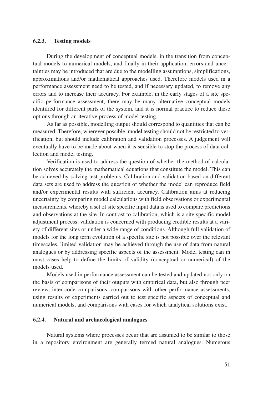## **6.2.3. Testing models**

During the development of conceptual models, in the transition from conceptual models to numerical models, and finally in their application, errors and uncertainties may be introduced that are due to the modelling assumptions, simplifications, approximations and/or mathematical approaches used. Therefore models used in a performance assessment need to be tested, and if necessary updated, to remove any errors and to increase their accuracy. For example, in the early stages of a site specific performance assessment, there may be many alternative conceptual models identified for different parts of the system, and it is normal practice to reduce these options through an iterative process of model testing.

As far as possible, modelling output should correspond to quantities that can be measured. Therefore, wherever possible, model testing should not be restricted to verification, but should include calibration and validation processes. A judgement will eventually have to be made about when it is sensible to stop the process of data collection and model testing.

Verification is used to address the question of whether the method of calculation solves accurately the mathematical equations that constitute the model. This can be achieved by solving test problems. Calibration and validation based on different data sets are used to address the question of whether the model can reproduce field and/or experimental results with sufficient accuracy. Calibration aims at reducing uncertainty by comparing model calculations with field observations or experimental measurements, whereby a set of site specific input data is used to compare predictions and observations at the site. In contrast to calibration, which is a site specific model adjustment process, validation is concerned with producing credible results at a variety of different sites or under a wide range of conditions. Although full validation of models for the long term evolution of a specific site is not possible over the relevant timescales, limited validation may be achieved through the use of data from natural analogues or by addressing specific aspects of the assessment. Model testing can in most cases help to define the limits of validity (conceptual or numerical) of the models used.

Models used in performance assessment can be tested and updated not only on the basis of comparisons of their outputs with empirical data, but also through peer review, inter-code comparisons, comparisons with other performance assessments, using results of experiments carried out to test specific aspects of conceptual and numerical models, and comparisons with cases for which analytical solutions exist.

# **6.2.4. Natural and archaeological analogues**

Natural systems where processes occur that are assumed to be similar to those in a repository environment are generally termed natural analogues. Numerous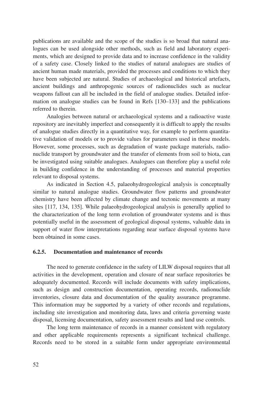publications are available and the scope of the studies is so broad that natural analogues can be used alongside other methods, such as field and laboratory experiments, which are designed to provide data and to increase confidence in the validity of a safety case. Closely linked to the studies of natural analogues are studies of ancient human made materials, provided the processes and conditions to which they have been subjected are natural. Studies of archaeological and historical artefacts, ancient buildings and anthropogenic sources of radionuclides such as nuclear weapons fallout can all be included in the field of analogue studies. Detailed information on analogue studies can be found in Refs [130–133] and the publications referred to therein.

Analogies between natural or archaeological systems and a radioactive waste repository are inevitably imperfect and consequently it is difficult to apply the results of analogue studies directly in a quantitative way, for example to perform quantitative validation of models or to provide values for parameters used in these models. However, some processes, such as degradation of waste package materials, radionuclide transport by groundwater and the transfer of elements from soil to biota, can be investigated using suitable analogues. Analogues can therefore play a useful role in building confidence in the understanding of processes and material properties relevant to disposal systems.

As indicated in Section 4.5, palaeohydrogeological analysis is conceptually similar to natural analogue studies. Groundwater flow patterns and groundwater chemistry have been affected by climate change and tectonic movements at many sites [117, 134, 135]. While palaeohydrogeological analysis is generally applied to the characterization of the long term evolution of groundwater systems and is thus potentially useful in the assessment of geological disposal systems, valuable data in support of water flow interpretations regarding near surface disposal systems have been obtained in some cases.

# **6.2.5. Documentation and maintenance of records**

The need to generate confidence in the safety of LILW disposal requires that all activities in the development, operation and closure of near surface repositories be adequately documented. Records will include documents with safety implications, such as design and construction documentation, operating records, radionuclide inventories, closure data and documentation of the quality assurance programme. This information may be supported by a variety of other records and regulations, including site investigation and monitoring data, laws and criteria governing waste disposal, licensing documentation, safety assessment results and land use controls.

The long term maintenance of records in a manner consistent with regulatory and other applicable requirements represents a significant technical challenge. Records need to be stored in a suitable form under appropriate environmental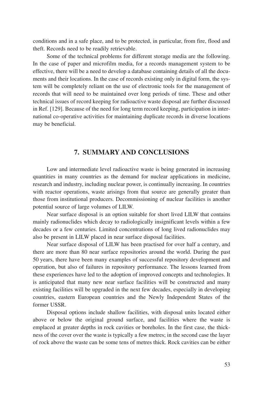conditions and in a safe place, and to be protected, in particular, from fire, flood and theft. Records need to be readily retrievable.

Some of the technical problems for different storage media are the following. In the case of paper and microfilm media, for a records management system to be effective, there will be a need to develop a database containing details of all the documents and their locations. In the case of records existing only in digital form, the system will be completely reliant on the use of electronic tools for the management of records that will need to be maintained over long periods of time. These and other technical issues of record keeping for radioactive waste disposal are further discussed in Ref. [129]. Because of the need for long term record keeping, participation in international co-operative activities for maintaining duplicate records in diverse locations may be beneficial.

# **7. SUMMARY AND CONCLUSIONS**

Low and intermediate level radioactive waste is being generated in increasing quantities in many countries as the demand for nuclear applications in medicine, research and industry, including nuclear power, is continually increasing. In countries with reactor operations, waste arisings from that source are generally greater than those from institutional producers. Decommissioning of nuclear facilities is another potential source of large volumes of LILW.

Near surface disposal is an option suitable for short lived LILW that contains mainly radionuclides which decay to radiologically insignificant levels within a few decades or a few centuries. Limited concentrations of long lived radionuclides may also be present in LILW placed in near surface disposal facilities.

Near surface disposal of LILW has been practised for over half a century, and there are more than 80 near surface repositories around the world. During the past 50 years, there have been many examples of successful repository development and operation, but also of failures in repository performance. The lessons learned from these experiences have led to the adoption of improved concepts and technologies. It is anticipated that many new near surface facilities will be constructed and many existing facilities will be upgraded in the next few decades, especially in developing countries, eastern European countries and the Newly Independent States of the former USSR.

Disposal options include shallow facilities, with disposal units located either above or below the original ground surface, and facilities where the waste is emplaced at greater depths in rock cavities or boreholes. In the first case, the thickness of the cover over the waste is typically a few metres; in the second case the layer of rock above the waste can be some tens of metres thick. Rock cavities can be either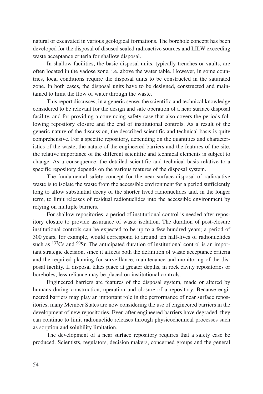natural or excavated in various geological formations. The borehole concept has been developed for the disposal of disused sealed radioactive sources and LILW exceeding waste acceptance criteria for shallow disposal.

In shallow facilities, the basic disposal units, typically trenches or vaults, are often located in the vadose zone, i.e. above the water table. However, in some countries, local conditions require the disposal units to be constructed in the saturated zone. In both cases, the disposal units have to be designed, constructed and maintained to limit the flow of water through the waste.

This report discusses, in a generic sense, the scientific and technical knowledge considered to be relevant for the design and safe operation of a near surface disposal facility, and for providing a convincing safety case that also covers the periods following repository closure and the end of institutional controls. As a result of the generic nature of the discussion, the described scientific and technical basis is quite comprehensive. For a specific repository, depending on the quantities and characteristics of the waste, the nature of the engineered barriers and the features of the site, the relative importance of the different scientific and technical elements is subject to change. As a consequence, the detailed scientific and technical basis relative to a specific repository depends on the various features of the disposal system.

The fundamental safety concept for the near surface disposal of radioactive waste is to isolate the waste from the accessible environment for a period sufficiently long to allow substantial decay of the shorter lived radionuclides and, in the longer term, to limit releases of residual radionuclides into the accessible environment by relying on multiple barriers.

For shallow repositories, a period of institutional control is needed after repository closure to provide assurance of waste isolation. The duration of post-closure institutional controls can be expected to be up to a few hundred years; a period of 300 years, for example, would correspond to around ten half-lives of radionuclides such as  $137Cs$  and  $90Sr$ . The anticipated duration of institutional control is an important strategic decision, since it affects both the definition of waste acceptance criteria and the required planning for surveillance, maintenance and monitoring of the disposal facility. If disposal takes place at greater depths, in rock cavity repositories or boreholes, less reliance may be placed on institutional controls.

Engineered barriers are features of the disposal system, made or altered by humans during construction, operation and closure of a repository. Because engineered barriers may play an important role in the performance of near surface repositories, many Member States are now considering the use of engineered barriers in the development of new repositories. Even after engineered barriers have degraded, they can continue to limit radionuclide releases through physicochemical processes such as sorption and solubility limitation.

The development of a near surface repository requires that a safety case be produced. Scientists, regulators, decision makers, concerned groups and the general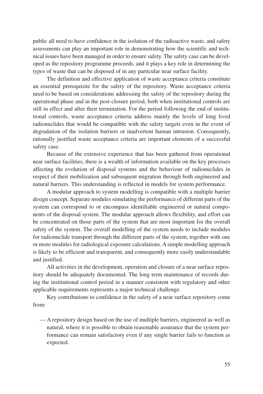public all need to have confidence in the isolation of the radioactive waste, and safety assessments can play an important role in demonstrating how the scientific and technical issues have been managed in order to ensure safety. The safety case can be developed as the repository programme proceeds, and it plays a key role in determining the types of waste that can be disposed of in any particular near surface facility.

The definition and effective application of waste acceptance criteria constitute an essential prerequisite for the safety of the repository. Waste acceptance criteria need to be based on considerations addressing the safety of the repository during the operational phase and in the post-closure period, both when institutional controls are still in effect and after their termination. For the period following the end of institutional controls, waste acceptance criteria address mainly the levels of long lived radionuclides that would be compatible with the safety targets even in the event of degradation of the isolation barriers or inadvertent human intrusion. Consequently, rationally justified waste acceptance criteria are important elements of a successful safety case.

Because of the extensive experience that has been gathered from operational near surface facilities, there is a wealth of information available on the key processes affecting the evolution of disposal systems and the behaviour of radionuclides in respect of their mobilization and subsequent migration through both engineered and natural barriers. This understanding is reflected in models for system performance.

A modular approach to system modelling is compatible with a multiple barrier design concept. Separate modules simulating the performance of different parts of the system can correspond to or encompass identifiable engineered or natural components of the disposal system. The modular approach allows flexibility, and effort can be concentrated on those parts of the system that are most important for the overall safety of the system. The overall modelling of the system needs to include modules for radionuclide transport through the different parts of the system, together with one or more modules for radiological exposure calculations. A simple modelling approach is likely to be efficient and transparent, and consequently more easily understandable and justified.

All activities in the development, operation and closure of a near surface repository should be adequately documented. The long term maintenance of records during the institutional control period in a manner consistent with regulatory and other applicable requirements represents a major technical challenge.

Key contributions to confidence in the safety of a near surface repository come from:

— A repository design based on the use of multiple barriers, engineered as well as natural, where it is possible to obtain reasonable assurance that the system performance can remain satisfactory even if any single barrier fails to function as expected.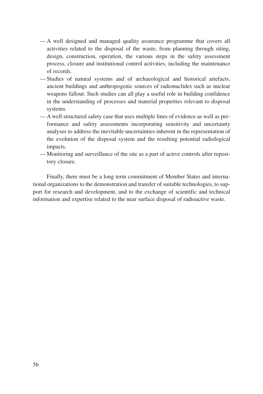- A well designed and managed quality assurance programme that covers all activities related to the disposal of the waste, from planning through siting, design, construction, operation, the various steps in the safety assessment process, closure and institutional control activities, including the maintenance of records.
- Studies of natural systems and of archaeological and historical artefacts, ancient buildings and anthropogenic sources of radionuclides such as nuclear weapons fallout. Such studies can all play a useful role in building confidence in the understanding of processes and material properties relevant to disposal systems.
- A well structured safety case that uses multiple lines of evidence as well as performance and safety assessments incorporating sensitivity and uncertainty analyses to address the inevitable uncertainties inherent in the representation of the evolution of the disposal system and the resulting potential radiological impacts.
- Monitoring and surveillance of the site as a part of active controls after repository closure.

Finally, there must be a long term commitment of Member States and international organizations to the demonstration and transfer of suitable technologies, to support for research and development, and to the exchange of scientific and technical information and expertise related to the near surface disposal of radioactive waste.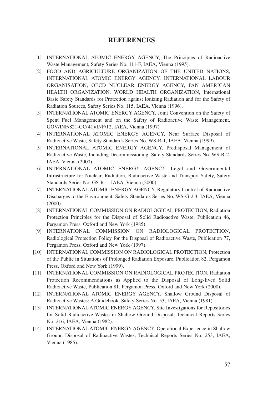# **REFERENCES**

- [1] INTERNATIONAL ATOMIC ENERGY AGENCY, The Principles of Radioactive Waste Management, Safety Series No. 111-F, IAEA, Vienna (1995).
- [2] FOOD AND AGRICULTURE ORGANIZATION OF THE UNITED NATIONS, INTERNATIONAL ATOMIC ENERGY AGENCY, INTERNATIONAL LABOUR ORGANISATION, OECD NUCLEAR ENERGY AGENCY, PAN AMERICAN HEALTH ORGANIZATION, WORLD HEALTH ORGANIZATION, International Basic Safety Standards for Protection against Ionizing Radiation and for the Safety of Radiation Sources, Safety Series No. 115, IAEA, Vienna (1996).
- [3] INTERNATIONAL ATOMIC ENERGY AGENCY, Joint Convention on the Safety of Spent Fuel Management and on the Safety of Radioactive Waste Management, GOV/INF/821-GC(41)/INF/12, IAEA, Vienna (1997).
- [4] INTERNATIONAL ATOMIC ENERGY AGENCY, Near Surface Disposal of Radioactive Waste, Safety Standards Series No. WS-R-1, IAEA, Vienna (1999).
- [5] INTERNATIONAL ATOMIC ENERGY AGENCY, Predisposal Management of Radioactive Waste, Including Decommissioning, Safety Standards Series No. WS-R-2, IAEA, Vienna (2000).
- [6] INTERNATIONAL ATOMIC ENERGY AGENCY, Legal and Governmental Infrastructure for Nuclear, Radiation, Radioactive Waste and Transport Safety, Safety Standards Series No. GS-R-1, IAEA, Vienna (2000).
- [7] INTERNATIONAL ATOMIC ENERGY AGENCY, Regulatory Control of Radioactive Discharges to the Environment, Safety Standards Series No. WS-G-2.3, IAEA, Vienna (2000).
- [8] INTERNATIONAL COMMISSION ON RADIOLOGICAL PROTECTION, Radiation Protection Principles for the Disposal of Solid Radioactive Waste, Publication 46, Pergamon Press, Oxford and New York (1985).
- [9] INTERNATIONAL COMMISSION ON RADIOLOGICAL PROTECTION, Radiological Protection Policy for the Disposal of Radioactive Waste, Publication 77, Pergamon Press, Oxford and New York (1997).
- [10] INTERNATIONAL COMMISSION ON RADIOLOGICAL PROTECTION, Protection of the Public in Situations of Prolonged Radiation Exposure, Publication 82, Pergamon Press, Oxford and New York (1999).
- [11] INTERNATIONAL COMMISSION ON RADIOLOGICAL PROTECTION, Radiation Protection Recommendations as Applied to the Disposal of Long-lived Solid Radioactive Waste, Publication 81, Pergamon Press, Oxford and New York (2000).
- [12] INTERNATIONAL ATOMIC ENERGY AGENCY, Shallow Ground Disposal of Radioactive Wastes: A Guidebook, Safety Series No. 53, IAEA, Vienna (1981).
- [13] INTERNATIONAL ATOMIC ENERGY AGENCY, Site Investigations for Repositories for Solid Radioactive Wastes in Shallow Ground Disposal, Technical Reports Series No. 216, IAEA, Vienna (1982).
- [14] INTERNATIONAL ATOMIC ENERGY AGENCY, Operational Experience in Shallow Ground Disposal of Radioactive Wastes, Technical Reports Series No. 253, IAEA, Vienna (1985).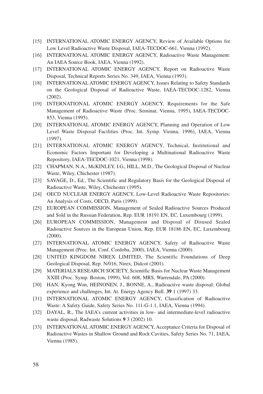- [15] INTERNATIONAL ATOMIC ENERGY AGENCY, Review of Available Options for Low Level Radioactive Waste Disposal, IAEA-TECDOC-661, Vienna (1992).
- [16] INTERNATIONAL ATOMIC ENERGY AGENCY, Radioactive Waste Management: An IAEA Source Book, IAEA, Vienna (1992).
- [17] INTERNATIONAL ATOMIC ENERGY AGENCY, Report on Radioactive Waste Disposal, Technical Reports Series No. 349, IAEA, Vienna (1993).
- [18] INTERNATIONAL ATOMIC ENERGY AGENCY, Issues Relating to Safety Standards on the Geological Disposal of Radioactive Waste, IAEA-TECDOC-1282, Vienna (2002).
- [19] INTERNATIONAL ATOMIC ENERGY AGENCY, Requirements for the Safe Management of Radioactive Waste (Proc. Seminar, Vienna, 1995), IAEA-TECDOC-853, Vienna (1995).
- [20] INTERNATIONAL ATOMIC ENERGY AGENCY, Planning and Operation of Low Level Waste Disposal Facilities (Proc. Int. Symp. Vienna, 1996), IAEA, Vienna (1997).
- [21] INTERNATIONAL ATOMIC ENERGY AGENCY, Technical, Institutional and Economic Factors Important for Developing a Multinational Radioactive Waste Repository, IAEA-TECDOC-1021, Vienna (1998).
- [22] CHAPMAN, N.A., McKINLEY, I.G., HILL, M.D., The Geological Disposal of Nuclear Waste, Wiley, Chichester (1987).
- [23] SAVAGE, D., Ed., The Scientific and Regulatory Basis for the Geological Disposal of Radioactive Waste, Wiley, Chichester (1995).
- [24] OECD NUCLEAR ENERGY AGENCY, Low-Level Radioactive Waste Repositories: An Analysis of Costs, OECD, Paris (1999).
- [25] EUROPEAN COMMISSION, Management of Sealed Radioactive Sources Produced and Sold in the Russian Federation, Rep. EUR 18191 EN, EC, Luxembourg (1999).
- [26] EUROPEAN COMMISSION, Management and Disposal of Disused Sealed Radioactive Sources in the European Union, Rep. EUR 18186 EN, EC, Luxembourg (2000).
- [27] INTERNATIONAL ATOMIC ENERGY AGENCY, Safety of Radioactive Waste Management (Proc. Int. Conf. Cordoba, 2000), IAEA, Vienna (2000).
- [28] UNITED KINGDOM NIREX LIMITED, The Scientific Foundations of Deep Geological Disposal, Rep. N/016, Nirex, Didcot (2001).
- [29] MATERIALS RESEARCH SOCIETY, Scientific Basis for Nuclear Waste Management XXIII (Proc. Symp. Boston, 1999), Vol. 608, MRS, Warrendale, PA (2000).
- [30] HAN, Kyong Won, HEINONEN, J., BONNE, A., Radioactive waste disposal: Global experience and challenges, Int. At. Energy Agency Bull. **39** 1 (1997) 33.
- [31] INTERNATIONAL ATOMIC ENERGY AGENCY, Classification of Radioactive Waste: A Safety Guide, Safety Series No. 111-G-1.1, IAEA, Vienna (1994).
- [32] DAYAL, R., The IAEA's current activities in low- and intermediate-level radioactive waste disposal, Radwaste Solutions **9** 3 (2002) 10.
- [33] INTERNATIONAL ATOMIC ENERGY AGENCY, Acceptance Criteria for Disposal of Radioactive Wastes in Shallow Ground and Rock Cavities, Safety Series No. 71, IAEA, Vienna (1985).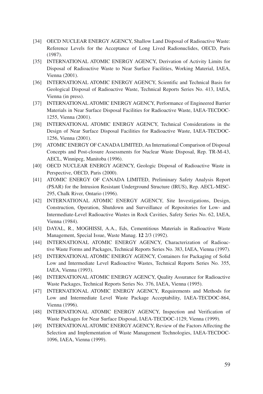- [34] OECD NUCLEAR ENERGY AGENCY, Shallow Land Disposal of Radioactive Waste: Reference Levels for the Acceptance of Long Lived Radionuclides, OECD, Paris (1987).
- [35] INTERNATIONAL ATOMIC ENERGY AGENCY, Derivation of Activity Limits for Disposal of Radioactive Waste to Near Surface Facilities, Working Material, IAEA, Vienna (2001).
- [36] INTERNATIONAL ATOMIC ENERGY AGENCY, Scientific and Technical Basis for Geological Disposal of Radioactive Waste, Technical Reports Series No. 413, IAEA, Vienna (in press).
- [37] INTERNATIONAL ATOMIC ENERGY AGENCY, Performance of Engineered Barrier Materials in Near Surface Disposal Facilities for Radioactive Waste, IAEA-TECDOC-1255, Vienna (2001).
- [38] INTERNATIONAL ATOMIC ENERGY AGENCY, Technical Considerations in the Design of Near Surface Disposal Facilities for Radioactive Waste, IAEA-TECDOC-1256, Vienna (2001).
- [39] ATOMIC ENERGY OF CANADA LIMITED, An International Comparison of Disposal Concepts and Post-closure Assessments for Nuclear Waste Disposal, Rep. TR-M-43, AECL, Winnipeg, Manitoba (1996).
- [40] OECD NUCLEAR ENERGY AGENCY, Geologic Disposal of Radioactive Waste in Perspective, OECD, Paris (2000).
- [41] ATOMIC ENERGY OF CANADA LIMITED, Preliminary Safety Analysis Report (PSAR) for the Intrusion Resistant Underground Structure (IRUS), Rep. AECL-MISC-295, Chalk River, Ontario (1996).
- [42] INTERNATIONAL ATOMIC ENERGY AGENCY, Site Investigations, Design, Construction, Operation, Shutdown and Surveillance of Repositories for Low- and Intermediate-Level Radioactive Wastes in Rock Cavities, Safety Series No. 62, IAEA, Vienna (1984).
- [43] DAYAL, R., MOGHISSI, A.A., Eds, Cementitious Materials in Radioactive Waste Management, Special Issue, Waste Manag. **12** 2/3 (1992).
- [44] INTERNATIONAL ATOMIC ENERGY AGENCY, Characterization of Radioactive Waste Forms and Packages, Technical Reports Series No. 383, IAEA, Vienna (1997).
- [45] INTERNATIONAL ATOMIC ENERGY AGENCY, Containers for Packaging of Solid Low and Intermediate Level Radioactive Wastes, Technical Reports Series No. 355, IAEA, Vienna (1993).
- [46] INTERNATIONAL ATOMIC ENERGY AGENCY, Quality Assurance for Radioactive Waste Packages, Technical Reports Series No. 376, IAEA, Vienna (1995).
- [47] INTERNATIONAL ATOMIC ENERGY AGENCY, Requirements and Methods for Low and Intermediate Level Waste Package Acceptability, IAEA-TECDOC-864, Vienna (1996).
- [48] INTERNATIONAL ATOMIC ENERGY AGENCY, Inspection and Verification of Waste Packages for Near Surface Disposal, IAEA-TECDOC-1129, Vienna (1999).
- [49] INTERNATIONAL ATOMIC ENERGY AGENCY, Review of the Factors Affecting the Selection and Implementation of Waste Management Technologies, IAEA-TECDOC-1096, IAEA, Vienna (1999).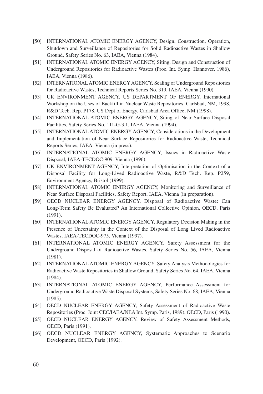- [50] INTERNATIONAL ATOMIC ENERGY AGENCY, Design, Construction, Operation, Shutdown and Surveillance of Repositories for Solid Radioactive Wastes in Shallow Ground, Safety Series No. 63, IAEA, Vienna (1984).
- [51] INTERNATIONAL ATOMIC ENERGY AGENCY, Siting, Design and Construction of Underground Repositories for Radioactive Wastes (Proc. Int. Symp. Hannover, 1986), IAEA, Vienna (1986).
- [52] INTERNATIONAL ATOMIC ENERGY AGENCY, Sealing of Underground Repositories for Radioactive Wastes, Technical Reports Series No. 319, IAEA, Vienna (1990).
- [53] UK ENVIRONMENT AGENCY, US DEPARTMENT OF ENERGY, International Workshop on the Uses of Backfill in Nuclear Waste Repositories, Carlsbad, NM, 1998, R&D Tech. Rep. P178, US Dept of Energy, Carlsbad Area Office, NM (1998).
- [54] INTERNATIONAL ATOMIC ENERGY AGENCY, Siting of Near Surface Disposal Facilities, Safety Series No. 111-G-3.1, IAEA, Vienna (1994).
- [55] INTERNATIONAL ATOMIC ENERGY AGENCY, Considerations in the Development and Implementation of Near Surface Repositories for Radioactive Waste, Technical Reports Series, IAEA, Vienna (in press).
- [56] INTERNATIONAL ATOMIC ENERGY AGENCY, Issues in Radioactive Waste Disposal, IAEA-TECDOC-909, Vienna (1996).
- [57] UK ENVIRONMENT AGENCY, Interpretation of Optimisation in the Context of a Disposal Facility for Long-Lived Radioactive Waste, R&D Tech. Rep. P259, Environment Agency, Bristol (1999).
- [58] INTERNATIONAL ATOMIC ENERGY AGENCY, Monitoring and Surveillance of Near Surface Disposal Facilities, Safety Report, IAEA, Vienna (in preparation).
- [59] OECD NUCLEAR ENERGY AGENCY, Disposal of Radioactive Waste: Can Long-Term Safety Be Evaluated? An International Collective Opinion, OECD, Paris (1991).
- [60] INTERNATIONAL ATOMIC ENERGY AGENCY, Regulatory Decision Making in the Presence of Uncertainty in the Context of the Disposal of Long Lived Radioactive Wastes, IAEA-TECDOC-975, Vienna (1997).
- [61] INTERNATIONAL ATOMIC ENERGY AGENCY, Safety Assessment for the Underground Disposal of Radioactive Wastes, Safety Series No. 56, IAEA, Vienna (1981).
- [62] INTERNATIONAL ATOMIC ENERGY AGENCY, Safety Analysis Methodologies for Radioactive Waste Repositories in Shallow Ground, Safety Series No. 64, IAEA, Vienna (1984).
- [63] INTERNATIONAL ATOMIC ENERGY AGENCY, Performance Assessment for Underground Radioactive Waste Disposal Systems, Safety Series No. 68, IAEA, Vienna (1985).
- [64] OECD NUCLEAR ENERGY AGENCY, Safety Assessment of Radioactive Waste Repositories (Proc. Joint CEC/IAEA/NEA Int. Symp. Paris, 1989), OECD, Paris (1990).
- [65] OECD NUCLEAR ENERGY AGENCY, Review of Safety Assessment Methods, OECD, Paris (1991).
- [66] OECD NUCLEAR ENERGY AGENCY, Systematic Approaches to Scenario Development, OECD, Paris (1992).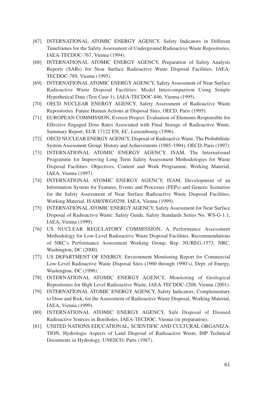- [67] INTERNATIONAL ATOMIC ENERGY AGENCY, Safety Indicators in Different Timeframes for the Safety Assessment of Underground Radioactive Waste Repositories, IAEA-TECDOC-767, Vienna (1994).
- [68] INTERNATIONAL ATOMIC ENERGY AGENCY, Preparation of Safety Analysis Reports (SARs) for Near Surface Radioactive Waste Disposal Facilities, IAEA-TECDOC-789, Vienna (1995).
- [69] INTERNATIONAL ATOMIC ENERGY AGENCY, Safety Assessment of Near Surface Radioactive Waste Disposal Facilities: Model Intercomparison Using Simple Hypothetical Data (Test Case 1), IAEA-TECDOC-846, Vienna (1995).
- [70] OECD NUCLEAR ENERGY AGENCY, Safety Assessment of Radioactive Waste Repositories. Future Human Actions at Disposal Sites, OECD, Paris (1995).
- [71] EUROPEAN COMMISSION, Everest Project: Evaluation of Elements Responsible for Effective Engaged Dose Rates Associated with Final Storage of Radioactive Waste, Summary Report, EUR 17122 EN, EC, Luxembourg (1996).
- [72] OECD NUCLEAR ENERGYAGENCY, Disposal of Radioactive Waste. The Probabilistic System Assessment Group: History and Achievements (1985–1994), OECD, Paris (1997).
- [73] INTERNATIONAL ATOMIC ENERGY AGENCY, ISAM, The International Programme for Improving Long Term Safety Assessment Methodologies for Waste Disposal Facilities: Objectives, Content and Work Programme, Working Material, IAEA, Vienna (1997).
- [74] INTERNATIONAL ATOMIC ENERGY AGENCY, ISAM, Development of an Information System for Features, Events and Processes (FEPs) and Generic Scenarios for the Safety Assessment of Near Surface Radioactive Waste Disposal Facilities, Working Material, ISAM/SWG/0298, IAEA, Vienna (1999).
- [75] INTERNATIONAL ATOMIC ENERGY AGENCY, Safety Assessment for Near Surface Disposal of Radioactive Waste: Safety Guide, Safety Standards Series No. WS-G-1.1, IAEA, Vienna (1999).
- [76] US NUCLEAR REGULATORY COMMISSION, A Performance Assessment Methodology for Low-Level Radioactive Waste Disposal Facilities. Recommendations of NRC's Performance Assessment Working Group, Rep. NUREG-1573, NRC, Washington, DC (2000).
- [77] US DEPARTMENT OF ENERGY, Environment Monitoring Report for Commercial Low-Level Radioactive Waste Disposal Sites (1960 through 1990's), Dept. of Energy, Washington, DC (1996).
- [78] INTERNATIONAL ATOMIC ENERGY AGENCY, Monitoring of Geological Repositories for High Level Radioactive Waste, IAEA-TECDOC-1208, Vienna (2001).
- [79] INTERNATIONAL ATOMIC ENERGY AGENCY, Safety Indicators, Complementary to Dose and Risk, for the Assessment of Radioactive Waste Disposal, Working Material, IAEA, Vienna (1999).
- [80] INTERNATIONAL ATOMIC ENERGY AGENCY, Safe Disposal of Disused Radioactive Sources in Boreholes, IAEA-TECDOC, Vienna (in preparation).
- [81] UNITED NATIONS EDUCATIONAL, SCIENTIFIC AND CULTURAL ORGANIZA-TION, Hydrologic Aspects of Land Disposal of Radioactive Waste, IHP Technical Documents in Hydrology, UNESCO, Paris (1987).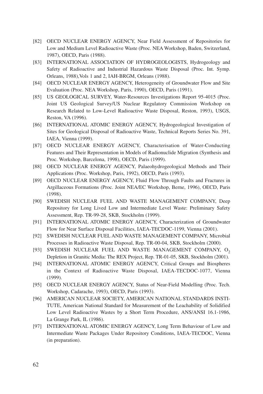- [82] OECD NUCLEAR ENERGY AGENCY, Near Field Assessment of Repositories for Low and Medium Level Radioactive Waste (Proc. NEA Workshop, Baden, Switzerland, 1987), OECD, Paris (1988).
- [83] INTERNATIONAL ASSOCIATION OF HYDROGEOLOGISTS, Hydrogeology and Safety of Radioactive and Industrial Hazardous Waste Disposal (Proc. Int. Symp. Orleans, 1988),Vols 1 and 2, IAH-BRGM, Orleans (1988).
- [84] OECD NUCLEAR ENERGY AGENCY, Heterogeneity of Groundwater Flow and Site Evaluation (Proc. NEA Workshop, Paris, 1990), OECD, Paris (1991).
- [85] US GEOLOGICAL SURVEY, Water-Resources Investigations Report 95-4015 (Proc. Joint US Geological Survey/US Nuclear Regulatory Commission Workshop on Research Related to Low-Level Radioactive Waste Disposal, Reston, 1993), USGS, Reston, VA (1996).
- [86] INTERNATIONAL ATOMIC ENERGY AGENCY, Hydrogeological Investigation of Sites for Geological Disposal of Radioactive Waste, Technical Reports Series No. 391, IAEA, Vienna (1999).
- [87] OECD NUCLEAR ENERGY AGENCY, Characterisation of Water-Conducting Features and Their Representation in Models of Radionuclide Migration (Synthesis and Proc. Workshop, Barcelona, 1998), OECD, Paris (1999).
- [88] OECD NUCLEAR ENERGY AGENCY, Palaeohydrogeological Methods and Their Applications (Proc. Workshop, Paris, 1992), OECD, Paris (1993).
- [89] OECD NUCLEAR ENERGY AGENCY, Fluid Flow Through Faults and Fractures in Argillaceous Formations (Proc. Joint NEA/EC Workshop, Berne, 1996), OECD, Paris (1998).
- [90] SWEDISH NUCLEAR FUEL AND WASTE MANAGEMENT COMPANY, Deep Repository for Long Lived Low and Intermediate Level Waste: Preliminary Safety Assessment, Rep. TR-99-28, SKB, Stockholm (1999).
- [91] INTERNATIONAL ATOMIC ENERGY AGENCY, Characterization of Groundwater Flow for Near Surface Disposal Facilities, IAEA-TECDOC-1199, Vienna (2001).
- [92] SWEDISH NUCLEAR FUEL AND WASTE MANAGEMENT COMPANY, Microbial Processes in Radioactive Waste Disposal, Rep. TR-00-04, SKB, Stockholm (2000).
- [93] SWEDISH NUCLEAR FUEL AND WASTE MANAGEMENT COMPANY,  $O<sub>2</sub>$ Depletion in Granitic Media: The REX Project, Rep. TR-01-05, SKB, Stockholm (2001).
- [94] INTERNATIONAL ATOMIC ENERGY AGENCY, Critical Groups and Biospheres in the Context of Radioactive Waste Disposal, IAEA-TECDOC-1077, Vienna (1999).
- [95] OECD NUCLEAR ENERGY AGENCY, Status of Near-Field Modelling (Proc. Tech. Workshop, Cadarache, 1993), OECD, Paris (1993).
- [96] AMERICAN NUCLEAR SOCIETY, AMERICAN NATIONAL STANDARDS INSTI-TUTE, American National Standard for Measurement of the Leachability of Solidified Low Level Radioactive Wastes by a Short Term Procedure, ANS/ANSI 16.1-1986, La Grange Park, IL (1986).
- [97] INTERNATIONAL ATOMIC ENERGY AGENCY, Long Term Behaviour of Low and Intermediate Waste Packages Under Repository Conditions, IAEA-TECDOC, Vienna (in preparation).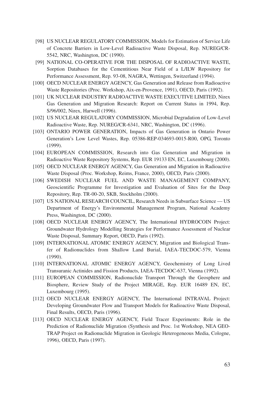- [98] US NUCLEAR REGULATORY COMMISSION, Models for Estimation of Service Life of Concrete Barriers in Low-Level Radioactive Waste Disposal, Rep. NUREG/CR-5542, NRC, Washington, DC (1990).
- [99] NATIONAL CO-OPERATIVE FOR THE DISPOSAL OF RADIOACTIVE WASTE, Sorption Databases for the Cementitious Near Field of a L/ILW Repository for Performance Assessment, Rep. 93-08, NAGRA, Wettingen, Switzerland (1994).
- [100] OECD NUCLEAR ENERGY AGENCY, Gas Generation and Release from Radioactive Waste Repositories (Proc. Workshop, Aix-en-Provence, 1991), OECD, Paris (1992).
- [101] UK NUCLEAR INDUSTRY RADIOACTIVE WASTE EXECUTIVE LIMITED, Nirex Gas Generation and Migration Research: Report on Current Status in 1994, Rep. S/96/002, Nirex, Harwell (1996).
- [102] US NUCLEAR REGULATORY COMMISSION, Microbial Degradation of Low-Level Radioactive Waste, Rep. NUREG/CR-6341, NRC, Washington, DC (1996).
- [103] ONTARIO POWER GENERATION, Impacts of Gas Generation in Ontario Power Generation's Low Level Wastes, Rep. 05386-REP-034693-0015-R00, OPG, Toronto (1999).
- [104] EUROPEAN COMMISSION, Research into Gas Generation and Migration in Radioactive Waste Repository Systems, Rep. EUR 19133 EN, EC, Luxembourg (2000).
- [105] OECD NUCLEAR ENERGY AGENCY, Gas Generation and Migration in Radioactive Waste Disposal (Proc. Workshop, Reims, France, 2000), OECD, Paris (2000).
- [106] SWEDISH NUCLEAR FUEL AND WASTE MANAGEMENT COMPANY, Geoscientific Programme for Investigation and Evaluation of Sites for the Deep Repository, Rep. TR-00-20, SKB, Stockholm (2000).
- [107] US NATIONAL RESEARCH COUNCIL, Research Needs in Subsurface Science US Department of Energy's Environmental Management Program, National Academy Press, Washington, DC (2000).
- [108] OECD NUCLEAR ENERGY AGENCY, The International HYDROCOIN Project: Groundwater Hydrology Modelling Strategies for Performance Assessment of Nuclear Waste Disposal, Summary Report, OECD, Paris (1992).
- [109] INTERNATIONAL ATOMIC ENERGY AGENCY, Migration and Biological Transfer of Radionuclides from Shallow Land Burial, IAEA-TECDOC-579, Vienna (1990).
- [110] INTERNATIONAL ATOMIC ENERGY AGENCY, Geochemistry of Long Lived Transuranic Actinides and Fission Products, IAEA-TECDOC-637, Vienna (1992).
- [111] EUROPEAN COMMISSION, Radionuclide Transport Through the Geosphere and Biosphere, Review Study of the Project MIRAGE, Rep. EUR 16489 EN, EC, Luxembourg (1995).
- [112] OECD NUCLEAR ENERGY AGENCY, The International INTRAVAL Project: Developing Groundwater Flow and Transport Models for Radioactive Waste Disposal, Final Results, OECD, Paris (1996).
- [113] OECD NUCLEAR ENERGY AGENCY, Field Tracer Experiments: Role in the Prediction of Radionuclide Migration (Synthesis and Proc. 1st Workshop, NEA GEO-TRAP Project on Radionuclide Migration in Geologic Heterogeneous Media, Cologne, 1996), OECD, Paris (1997).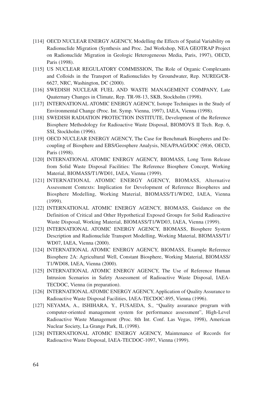- [114] OECD NUCLEAR ENERGY AGENCY, Modelling the Effects of Spatial Variability on Radionuclide Migration (Synthesis and Proc. 2nd Workshop, NEA GEOTRAP Project on Radionuclide Migration in Geologic Heterogeneous Media, Paris, 1997), OECD, Paris (1998).
- [115] US NUCLEAR REGULATORY COMMISSION, The Role of Organic Complexants and Colloids in the Transport of Radionuclides by Groundwater, Rep. NUREG/CR-6627, NRC, Washington, DC (2000).
- [116] SWEDISH NUCLEAR FUEL AND WASTE MANAGEMENT COMPANY, Late Quaternary Changes in Climate, Rep. TR-98-13, SKB, Stockholm (1998).
- [117] INTERNATIONAL ATOMIC ENERGY AGENCY, Isotope Techniques in the Study of Environmental Change (Proc. Int. Symp. Vienna, 1997), IAEA, Vienna (1998).
- [118] SWEDISH RADIATION PROTECTION INSTITUTE, Development of the Reference Biosphere Methodology for Radioactive Waste Disposal, BIOMOVS II Tech. Rep. 6, SSI, Stockholm (1996).
- [119] OECD NUCLEAR ENERGY AGENCY, The Case for Benchmark Biospheres and Decoupling of Biosphere and EBS/Geosphere Analysis, NEA/PAAG/DOC (98)6, OECD, Paris (1998).
- [120] INTERNATIONAL ATOMIC ENERGY AGENCY, BIOMASS, Long Term Release from Solid Waste Disposal Facilities: The Reference Biosphere Concept, Working Material, BIOMASS/T1/WD01, IAEA, Vienna (1999).
- [121] INTERNATIONAL ATOMIC ENERGY AGENCY, BIOMASS, Alternative Assessment Contexts: Implication for Development of Reference Biospheres and Biosphere Modelling, Working Material, BIOMASS/T1/WD02, IAEA, Vienna (1999).
- [122] INTERNATIONAL ATOMIC ENERGY AGENCY, BIOMASS, Guidance on the Definition of Critical and Other Hypothetical Exposed Groups for Solid Radioactive Waste Disposal, Working Material, BIOMASS/T1/WD03, IAEA, Vienna (1999).
- [123] INTERNATIONAL ATOMIC ENERGY AGENCY, BIOMASS, Biosphere System Description and Radionuclide Transport Modelling, Working Material, BIOMASS/T1/ WD07, IAEA, Vienna (2000).
- [124] INTERNATIONAL ATOMIC ENERGY AGENCY, BIOMASS, Example Reference Biosphere 2A: Agricultural Well, Constant Biosphere, Working Material, BIOMASS/ T1/WD08, IAEA, Vienna (2000).
- [125] INTERNATIONAL ATOMIC ENERGY AGENCY, The Use of Reference Human Intrusion Scenarios in Safety Assessment of Radioactive Waste Disposal, IAEA-TECDOC, Vienna (in preparation).
- [126] INTERNATIONAL ATOMIC ENERGY AGENCY, Application of Quality Assurance to Radioactive Waste Disposal Facilities, IAEA-TECDOC-895, Vienna (1996).
- [127] NEYAMA, A., ISHIHARA, Y., FUSAEDA, S., "Quality assurance program with computer-oriented management system for performance assessment", High-Level Radioactive Waste Management (Proc. 8th Int. Conf. Las Vegas, 1998), American Nuclear Society, La Grange Park, IL (1998).
- [128] INTERNATIONAL ATOMIC ENERGY AGENCY, Maintenance of Records for Radioactive Waste Disposal, IAEA-TECDOC-1097, Vienna (1999).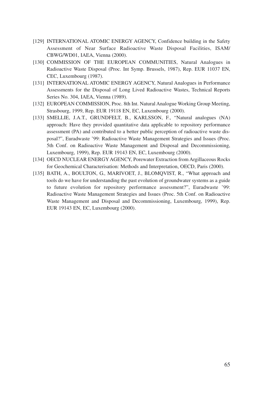- [129] INTERNATIONAL ATOMIC ENERGY AGENCY, Confidence building in the Safety Assessment of Near Surface Radioactive Waste Disposal Facilities, ISAM/ CBWG/WD01, IAEA, Vienna (2000).
- [130] COMMISSION OF THE EUROPEAN COMMUNITIES, Natural Analogues in Radioactive Waste Disposal (Proc. Int Symp. Brussels, 1987), Rep. EUR 11037 EN, CEC, Luxembourg (1987).
- [131] INTERNATIONAL ATOMIC ENERGY AGENCY, Natural Analogues in Performance Assessments for the Disposal of Long Lived Radioactive Wastes, Technical Reports Series No. 304, IAEA, Vienna (1989).
- [132] EUROPEAN COMMISSION, Proc. 8th Int. Natural Analogue Working Group Meeting, Strasbourg, 1999, Rep. EUR 19118 EN, EC, Luxembourg (2000).
- [133] SMELLIE, J.A.T., GRUNDFELT, B., KARLSSON, F., "Natural analogues (NA) approach: Have they provided quantitative data applicable to repository performance assessment (PA) and contributed to a better public perception of radioactive waste disposal?", Euradwaste '99: Radioactive Waste Management Strategies and Issues (Proc. 5th Conf. on Radioactive Waste Management and Disposal and Decommissioning, Luxembourg, 1999), Rep. EUR 19143 EN, EC, Luxembourg (2000).
- [134] OECD NUCLEAR ENERGYAGENCY, Porewater Extraction from Argillaceous Rocks for Geochemical Characterisation: Methods and Interpretation, OECD, Paris (2000).
- [135] BATH, A., BOULTON, G., MARIVOET, J., BLOMQVIST, R., "What approach and tools do we have for understanding the past evolution of groundwater systems as a guide to future evolution for repository performance assessment?", Euradwaste '99: Radioactive Waste Management Strategies and Issues (Proc. 5th Conf. on Radioactive Waste Management and Disposal and Decommissioning, Luxembourg, 1999), Rep. EUR 19143 EN, EC, Luxembourg (2000).